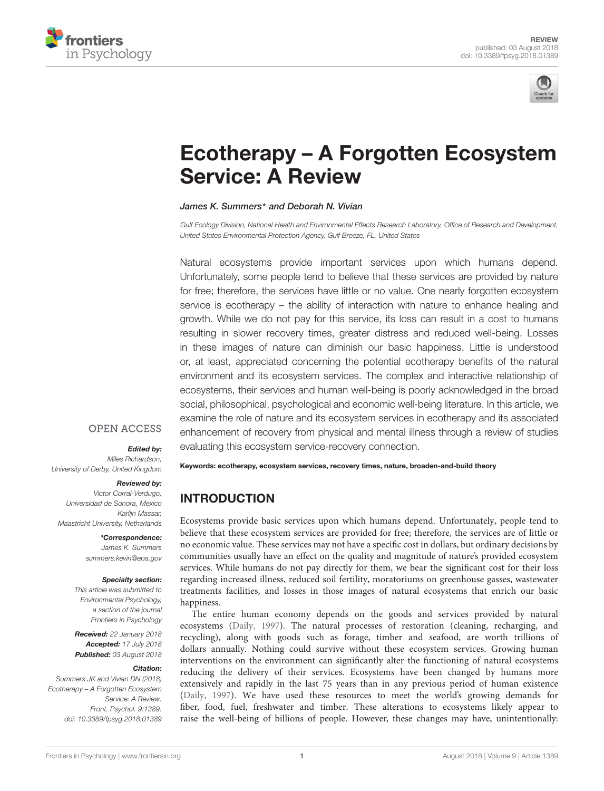



# [Ecotherapy – A Forgotten Ecosystem](https://www.frontiersin.org/articles/10.3389/fpsyg.2018.01389/full) Service: A Review

#### [James K. Summers](http://loop.frontiersin.org/people/466715/overview)\* and [Deborah N. Vivian](http://loop.frontiersin.org/people/534513/overview)

Gulf Ecology Division, National Health and Environmental Effects Research Laboratory, Office of Research and Development, United States Environmental Protection Agency, Gulf Breeze, FL, United States

Natural ecosystems provide important services upon which humans depend. Unfortunately, some people tend to believe that these services are provided by nature for free; therefore, the services have little or no value. One nearly forgotten ecosystem service is ecotherapy – the ability of interaction with nature to enhance healing and growth. While we do not pay for this service, its loss can result in a cost to humans resulting in slower recovery times, greater distress and reduced well-being. Losses in these images of nature can diminish our basic happiness. Little is understood or, at least, appreciated concerning the potential ecotherapy benefits of the natural environment and its ecosystem services. The complex and interactive relationship of ecosystems, their services and human well-being is poorly acknowledged in the broad social, philosophical, psychological and economic well-being literature. In this article, we examine the role of nature and its ecosystem services in ecotherapy and its associated enhancement of recovery from physical and mental illness through a review of studies evaluating this ecosystem service-recovery connection.

#### **OPEN ACCESS**

#### Edited by:

Miles Richardson, University of Derby, United Kingdom

#### Reviewed by:

Victor Corral-Verdugo, Universidad de Sonora, Mexico Karlijn Massar, Maastricht University, Netherlands

#### \*Correspondence:

James K. Summers summers.kevin@epa.gov

#### Specialty section:

This article was submitted to Environmental Psychology, a section of the journal Frontiers in Psychology

Received: 22 January 2018 Accepted: 17 July 2018 Published: 03 August 2018

#### Citation:

Summers JK and Vivian DN (2018) Ecotherapy – A Forgotten Ecosystem Service: A Review. Front. Psychol. 9:1389. doi: [10.3389/fpsyg.2018.01389](https://doi.org/10.3389/fpsyg.2018.01389)

Keywords: ecotherapy, ecosystem services, recovery times, nature, broaden-and-build theory

# INTRODUCTION

Ecosystems provide basic services upon which humans depend. Unfortunately, people tend to believe that these ecosystem services are provided for free; therefore, the services are of little or no economic value. These services may not have a specific cost in dollars, but ordinary decisions by communities usually have an effect on the quality and magnitude of nature's provided ecosystem services. While humans do not pay directly for them, we bear the significant cost for their loss regarding increased illness, reduced soil fertility, moratoriums on greenhouse gasses, wastewater treatments facilities, and losses in those images of natural ecosystems that enrich our basic happiness.

The entire human economy depends on the goods and services provided by natural ecosystems [\(Daily,](#page-9-0) [1997\)](#page-9-0). The natural processes of restoration (cleaning, recharging, and recycling), along with goods such as forage, timber and seafood, are worth trillions of dollars annually. Nothing could survive without these ecosystem services. Growing human interventions on the environment can significantly alter the functioning of natural ecosystems reducing the delivery of their services. Ecosystems have been changed by humans more extensively and rapidly in the last 75 years than in any previous period of human existence [\(Daily,](#page-9-0) [1997\)](#page-9-0). We have used these resources to meet the world's growing demands for fiber, food, fuel, freshwater and timber. These alterations to ecosystems likely appear to raise the well-being of billions of people. However, these changes may have, unintentionally: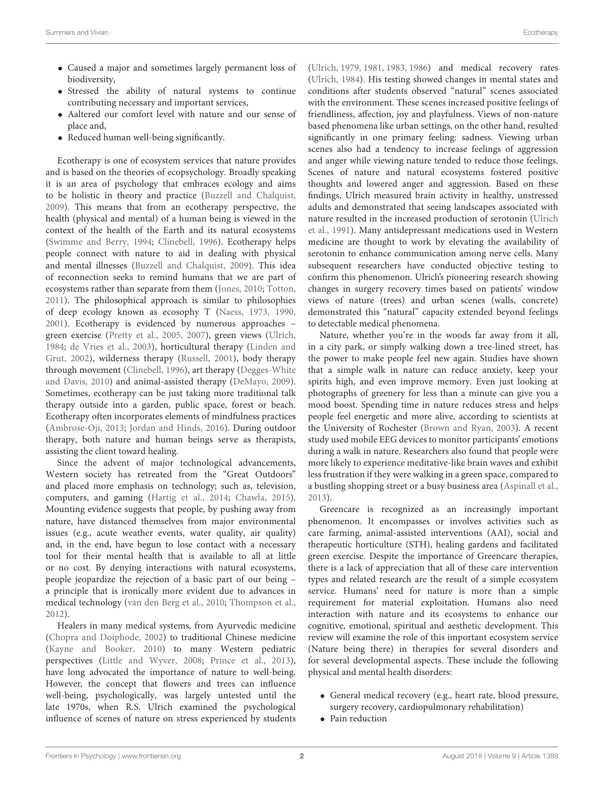- Caused a major and sometimes largely permanent loss of biodiversity,
- Stressed the ability of natural systems to continue contributing necessary and important services,
- Aaltered our comfort level with nature and our sense of place and,
- Reduced human well-being significantly.

Ecotherapy is one of ecosystem services that nature provides and is based on the theories of ecopsychology. Broadly speaking it is an area of psychology that embraces ecology and aims to be holistic in theory and practice [\(Buzzell and Chalquist,](#page-8-0) [2009\)](#page-8-0). This means that from an ecotherapy perspective, the health (physical and mental) of a human being is viewed in the context of the health of the Earth and its natural ecosystems [\(Swimme and Berry,](#page-11-0) [1994;](#page-11-0) [Clinebell,](#page-9-1) [1996\)](#page-9-1). Ecotherapy helps people connect with nature to aid in dealing with physical and mental illnesses [\(Buzzell and Chalquist,](#page-8-0) [2009\)](#page-8-0). This idea of reconnection seeks to remind humans that we are part of ecosystems rather than separate from them [\(Jones,](#page-10-0) [2010;](#page-10-0) [Totton,](#page-12-0) [2011\)](#page-12-0). The philosophical approach is similar to philosophies of deep ecology known as ecosophy T [\(Naess,](#page-11-1) [1973,](#page-11-1) [1990,](#page-10-1) [2001\)](#page-11-2). Ecotherapy is evidenced by numerous approaches – green exercise [\(Pretty et al.,](#page-11-3) [2005,](#page-11-3) [2007\)](#page-11-4), green views [\(Ulrich,](#page-12-1) [1984;](#page-12-1) [de Vries et al.,](#page-9-2) [2003\)](#page-9-2), horticultural therapy [\(Linden and](#page-10-2) [Grut,](#page-10-2) [2002\)](#page-10-2), wilderness therapy [\(Russell,](#page-11-5) [2001\)](#page-11-5), body therapy through movement [\(Clinebell,](#page-9-1) [1996\)](#page-9-1), art therapy [\(Degges-White](#page-9-3) [and Davis,](#page-9-3) [2010\)](#page-9-3) and animal-assisted therapy [\(DeMayo,](#page-9-4) [2009\)](#page-9-4). Sometimes, ecotherapy can be just taking more traditional talk therapy outside into a garden, public space, forest or beach. Ecotherapy often incorporates elements of mindfulness practices [\(Ambrose-Oji,](#page-8-1) [2013;](#page-8-1) [Jordan and Hinds,](#page-10-3) [2016\)](#page-10-3). During outdoor therapy, both nature and human beings serve as therapists, assisting the client toward healing.

Since the advent of major technological advancements, Western society has retreated from the "Great Outdoors" and placed more emphasis on technology; such as, television, computers, and gaming [\(Hartig et al.,](#page-9-5) [2014;](#page-9-5) [Chawla,](#page-8-2) [2015\)](#page-8-2). Mounting evidence suggests that people, by pushing away from nature, have distanced themselves from major environmental issues (e.g., acute weather events, water quality, air quality) and, in the end, have begun to lose contact with a necessary tool for their mental health that is available to all at little or no cost. By denying interactions with natural ecosystems, people jeopardize the rejection of a basic part of our being – a principle that is ironically more evident due to advances in medical technology [\(van den Berg et al.,](#page-12-2) [2010;](#page-12-2) [Thompson et al.,](#page-12-3) [2012\)](#page-12-3).

Healers in many medical systems, from Ayurvedic medicine [\(Chopra and Doiphode,](#page-8-3) [2002\)](#page-8-3) to traditional Chinese medicine [\(Kayne and Booker,](#page-10-4) [2010\)](#page-10-4) to many Western pediatric perspectives [\(Little and Wyver,](#page-10-5) [2008;](#page-10-5) [Prince et al.,](#page-11-6) [2013\)](#page-11-6), have long advocated the importance of nature to well-being. However, the concept that flowers and trees can influence well-being, psychologically, was largely untested until the late 1970s, when R.S. Ulrich examined the psychological influence of scenes of nature on stress experienced by students [\(Ulrich,](#page-12-4) [1979,](#page-12-4) [1981,](#page-12-5) [1983,](#page-12-6) [1986\)](#page-12-7) and medical recovery rates [\(Ulrich,](#page-12-1) [1984\)](#page-12-1). His testing showed changes in mental states and conditions after students observed "natural" scenes associated with the environment. These scenes increased positive feelings of friendliness, affection, joy and playfulness. Views of non-nature based phenomena like urban settings, on the other hand, resulted significantly in one primary feeling: sadness. Viewing urban scenes also had a tendency to increase feelings of aggression and anger while viewing nature tended to reduce those feelings. Scenes of nature and natural ecosystems fostered positive thoughts and lowered anger and aggression. Based on these findings, Ulrich measured brain activity in healthy, unstressed adults and demonstrated that seeing landscapes associated with nature resulted in the increased production of serotonin [\(Ulrich](#page-12-8) [et al.,](#page-12-8) [1991\)](#page-12-8). Many antidepressant medications used in Western medicine are thought to work by elevating the availability of serotonin to enhance communication among nerve cells. Many subsequent researchers have conducted objective testing to confirm this phenomenon. Ulrich's pioneering research showing changes in surgery recovery times based on patients' window views of nature (trees) and urban scenes (walls, concrete) demonstrated this "natural" capacity extended beyond feelings to detectable medical phenomena.

Nature, whether you're in the woods far away from it all, in a city park, or simply walking down a tree-lined street, has the power to make people feel new again. Studies have shown that a simple walk in nature can reduce anxiety, keep your spirits high, and even improve memory. Even just looking at photographs of greenery for less than a minute can give you a mood boost. Spending time in nature reduces stress and helps people feel energetic and more alive, according to scientists at the University of Rochester [\(Brown and Ryan,](#page-8-4) [2003\)](#page-8-4). A recent study used mobile EEG devices to monitor participants' emotions during a walk in nature. Researchers also found that people were more likely to experience meditative-like brain waves and exhibit less frustration if they were walking in a green space, compared to a bustling shopping street or a busy business area [\(Aspinall et al.,](#page-8-5) [2013\)](#page-8-5).

Greencare is recognized as an increasingly important phenomenon. It encompasses or involves activities such as care farming, animal-assisted interventions (AAI), social and therapeutic horticulture (STH), healing gardens and facilitated green exercise. Despite the importance of Greencare therapies, there is a lack of appreciation that all of these care intervention types and related research are the result of a simple ecosystem service. Humans' need for nature is more than a simple requirement for material exploitation. Humans also need interaction with nature and its ecosystems to enhance our cognitive, emotional, spiritual and aesthetic development. This review will examine the role of this important ecosystem service (Nature being there) in therapies for several disorders and for several developmental aspects. These include the following physical and mental health disorders:

- General medical recovery (e.g., heart rate, blood pressure, surgery recovery, cardiopulmonary rehabilitation)
- Pain reduction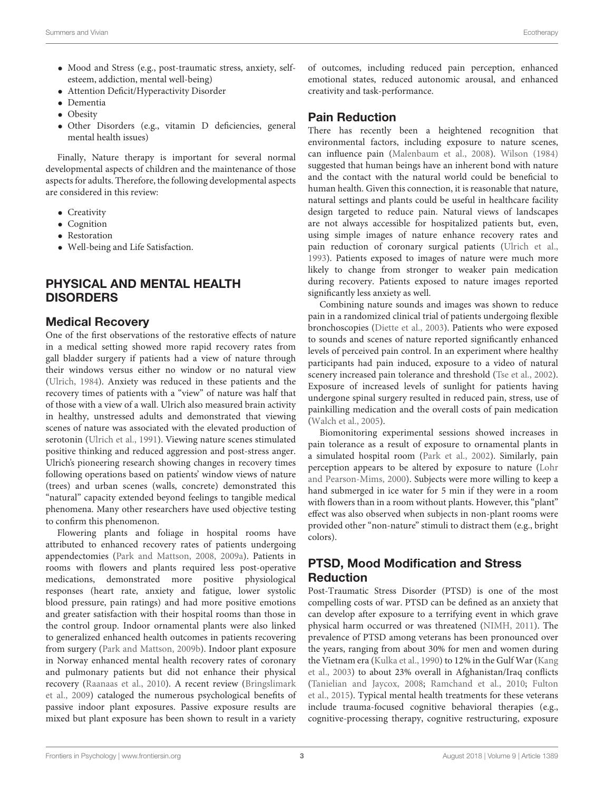- Mood and Stress (e.g., post-traumatic stress, anxiety, selfesteem, addiction, mental well-being)
- Attention Deficit/Hyperactivity Disorder
- Dementia
- Obesity
- Other Disorders (e.g., vitamin D deficiencies, general mental health issues)

Finally, Nature therapy is important for several normal developmental aspects of children and the maintenance of those aspects for adults. Therefore, the following developmental aspects are considered in this review:

- Creativity
- Cognition
- Restoration
- Well-being and Life Satisfaction.

# PHYSICAL AND MENTAL HEALTH DISORDERS

## Medical Recovery

One of the first observations of the restorative effects of nature in a medical setting showed more rapid recovery rates from gall bladder surgery if patients had a view of nature through their windows versus either no window or no natural view [\(Ulrich,](#page-12-1) [1984\)](#page-12-1). Anxiety was reduced in these patients and the recovery times of patients with a "view" of nature was half that of those with a view of a wall. Ulrich also measured brain activity in healthy, unstressed adults and demonstrated that viewing scenes of nature was associated with the elevated production of serotonin [\(Ulrich et al.,](#page-12-8) [1991\)](#page-12-8). Viewing nature scenes stimulated positive thinking and reduced aggression and post-stress anger. Ulrich's pioneering research showing changes in recovery times following operations based on patients' window views of nature (trees) and urban scenes (walls, concrete) demonstrated this "natural" capacity extended beyond feelings to tangible medical phenomena. Many other researchers have used objective testing to confirm this phenomenon.

Flowering plants and foliage in hospital rooms have attributed to enhanced recovery rates of patients undergoing appendectomies [\(Park and Mattson,](#page-11-7) [2008,](#page-11-7) [2009a\)](#page-11-8). Patients in rooms with flowers and plants required less post-operative medications, demonstrated more positive physiological responses (heart rate, anxiety and fatigue, lower systolic blood pressure, pain ratings) and had more positive emotions and greater satisfaction with their hospital rooms than those in the control group. Indoor ornamental plants were also linked to generalized enhanced health outcomes in patients recovering from surgery [\(Park and Mattson,](#page-11-9) [2009b\)](#page-11-9). Indoor plant exposure in Norway enhanced mental health recovery rates of coronary and pulmonary patients but did not enhance their physical recovery [\(Raanaas et al.,](#page-11-10) [2010\)](#page-11-10). A recent review [\(Bringslimark](#page-8-6) [et al.,](#page-8-6) [2009\)](#page-8-6) cataloged the numerous psychological benefits of passive indoor plant exposures. Passive exposure results are mixed but plant exposure has been shown to result in a variety of outcomes, including reduced pain perception, enhanced emotional states, reduced autonomic arousal, and enhanced creativity and task-performance.

## Pain Reduction

There has recently been a heightened recognition that environmental factors, including exposure to nature scenes, can influence pain [\(Malenbaum et al.,](#page-10-6) [2008\)](#page-10-6). [Wilson](#page-12-9) [\(1984\)](#page-12-9) suggested that human beings have an inherent bond with nature and the contact with the natural world could be beneficial to human health. Given this connection, it is reasonable that nature, natural settings and plants could be useful in healthcare facility design targeted to reduce pain. Natural views of landscapes are not always accessible for hospitalized patients but, even, using simple images of nature enhance recovery rates and pain reduction of coronary surgical patients [\(Ulrich et al.,](#page-12-10) [1993\)](#page-12-10). Patients exposed to images of nature were much more likely to change from stronger to weaker pain medication during recovery. Patients exposed to nature images reported significantly less anxiety as well.

Combining nature sounds and images was shown to reduce pain in a randomized clinical trial of patients undergoing flexible bronchoscopies [\(Diette et al.,](#page-9-6) [2003\)](#page-9-6). Patients who were exposed to sounds and scenes of nature reported significantly enhanced levels of perceived pain control. In an experiment where healthy participants had pain induced, exposure to a video of natural scenery increased pain tolerance and threshold [\(Tse et al.,](#page-12-11) [2002\)](#page-12-11). Exposure of increased levels of sunlight for patients having undergone spinal surgery resulted in reduced pain, stress, use of painkilling medication and the overall costs of pain medication [\(Walch et al.,](#page-12-12) [2005\)](#page-12-12).

Biomonitoring experimental sessions showed increases in pain tolerance as a result of exposure to ornamental plants in a simulated hospital room [\(Park et al.,](#page-11-11) [2002\)](#page-11-11). Similarly, pain perception appears to be altered by exposure to nature [\(Lohr](#page-10-7) [and Pearson-Mims,](#page-10-7) [2000\)](#page-10-7). Subjects were more willing to keep a hand submerged in ice water for 5 min if they were in a room with flowers than in a room without plants. However, this "plant" effect was also observed when subjects in non-plant rooms were provided other "non-nature" stimuli to distract them (e.g., bright colors).

# PTSD, Mood Modification and Stress Reduction

Post-Traumatic Stress Disorder (PTSD) is one of the most compelling costs of war. PTSD can be defined as an anxiety that can develop after exposure to a terrifying event in which grave physical harm occurred or was threatened [\(NIMH,](#page-11-12) [2011\)](#page-11-12). The prevalence of PTSD among veterans has been pronounced over the years, ranging from about 30% for men and women during the Vietnam era [\(Kulka et al.,](#page-10-8) [1990\)](#page-10-8) to 12% in the Gulf War [\(Kang](#page-10-9) [et al.,](#page-10-9) [2003\)](#page-10-9) to about 23% overall in Afghanistan/Iraq conflicts [\(Tanielian and Jaycox,](#page-12-13) [2008;](#page-12-13) [Ramchand et al.,](#page-11-13) [2010;](#page-11-13) [Fulton](#page-9-7) [et al.,](#page-9-7) [2015\)](#page-9-7). Typical mental health treatments for these veterans include trauma-focused cognitive behavioral therapies (e.g., cognitive-processing therapy, cognitive restructuring, exposure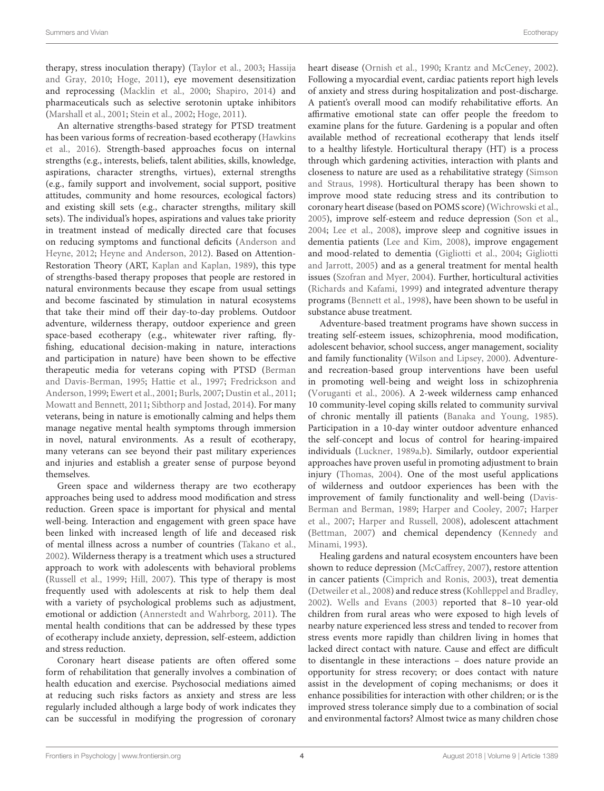therapy, stress inoculation therapy) [\(Taylor et al.,](#page-12-14) [2003;](#page-12-14) [Hassija](#page-9-8) [and Gray,](#page-9-8) [2010;](#page-9-8) [Hoge,](#page-10-10) [2011\)](#page-10-10), eye movement desensitization and reprocessing [\(Macklin et al.,](#page-10-11) [2000;](#page-10-11) [Shapiro,](#page-11-14) [2014\)](#page-11-14) and pharmaceuticals such as selective serotonin uptake inhibitors [\(Marshall et al.,](#page-10-12) [2001;](#page-10-12) [Stein et al.,](#page-11-15) [2002;](#page-11-15) [Hoge,](#page-10-10) [2011\)](#page-10-10).

An alternative strengths-based strategy for PTSD treatment has been various forms of recreation-based ecotherapy [\(Hawkins](#page-9-9) [et al.,](#page-9-9) [2016\)](#page-9-9). Strength-based approaches focus on internal strengths (e.g., interests, beliefs, talent abilities, skills, knowledge, aspirations, character strengths, virtues), external strengths (e.g., family support and involvement, social support, positive attitudes, community and home resources, ecological factors) and existing skill sets (e.g., character strengths, military skill sets). The individual's hopes, aspirations and values take priority in treatment instead of medically directed care that focuses on reducing symptoms and functional deficits [\(Anderson and](#page-8-7) [Heyne,](#page-8-7) [2012;](#page-8-7) [Heyne and Anderson,](#page-9-10) [2012\)](#page-9-10). Based on Attention-Restoration Theory (ART, [Kaplan and Kaplan,](#page-10-13) [1989\)](#page-10-13), this type of strengths-based therapy proposes that people are restored in natural environments because they escape from usual settings and become fascinated by stimulation in natural ecosystems that take their mind off their day-to-day problems. Outdoor adventure, wilderness therapy, outdoor experience and green space-based ecotherapy (e.g., whitewater river rafting, flyfishing, educational decision-making in nature, interactions and participation in nature) have been shown to be effective therapeutic media for veterans coping with PTSD [\(Berman](#page-8-8) [and Davis-Berman,](#page-8-8) [1995;](#page-8-8) [Hattie et al.,](#page-9-11) [1997;](#page-9-11) [Fredrickson and](#page-9-12) [Anderson,](#page-9-12) [1999;](#page-9-12) [Ewert et al.,](#page-9-13) [2001;](#page-9-13) [Burls,](#page-8-9) [2007;](#page-8-9) [Dustin et al.,](#page-9-14) [2011;](#page-9-14) [Mowatt and Bennett,](#page-10-14) [2011;](#page-10-14) [Sibthorp and Jostad,](#page-11-16) [2014\)](#page-11-16). For many veterans, being in nature is emotionally calming and helps them manage negative mental health symptoms through immersion in novel, natural environments. As a result of ecotherapy, many veterans can see beyond their past military experiences and injuries and establish a greater sense of purpose beyond themselves.

Green space and wilderness therapy are two ecotherapy approaches being used to address mood modification and stress reduction. Green space is important for physical and mental well-being. Interaction and engagement with green space have been linked with increased length of life and deceased risk of mental illness across a number of countries [\(Takano et al.,](#page-12-15) [2002\)](#page-12-15). Wilderness therapy is a treatment which uses a structured approach to work with adolescents with behavioral problems [\(Russell et al.,](#page-11-17) [1999;](#page-11-17) [Hill,](#page-9-15) [2007\)](#page-9-15). This type of therapy is most frequently used with adolescents at risk to help them deal with a variety of psychological problems such as adjustment, emotional or addiction [\(Annerstedt and Wahrborg,](#page-8-10) [2011\)](#page-8-10). The mental health conditions that can be addressed by these types of ecotherapy include anxiety, depression, self-esteem, addiction and stress reduction.

Coronary heart disease patients are often offered some form of rehabilitation that generally involves a combination of health education and exercise. Psychosocial mediations aimed at reducing such risks factors as anxiety and stress are less regularly included although a large body of work indicates they can be successful in modifying the progression of coronary heart disease [\(Ornish et al.,](#page-11-18) [1990;](#page-11-18) [Krantz and McCeney,](#page-10-15) [2002\)](#page-10-15). Following a myocardial event, cardiac patients report high levels of anxiety and stress during hospitalization and post-discharge. A patient's overall mood can modify rehabilitative efforts. An affirmative emotional state can offer people the freedom to examine plans for the future. Gardening is a popular and often available method of recreational ecotherapy that lends itself to a healthy lifestyle. Horticultural therapy (HT) is a process through which gardening activities, interaction with plants and closeness to nature are used as a rehabilitative strategy [\(Simson](#page-11-19) [and Straus,](#page-11-19) [1998\)](#page-11-19). Horticultural therapy has been shown to improve mood state reducing stress and its contribution to coronary heart disease (based on POMS score) [\(Wichrowski et al.,](#page-12-16) [2005\)](#page-12-16), improve self-esteem and reduce depression [\(Son et al.,](#page-11-20) [2004;](#page-11-20) [Lee et al.,](#page-10-16) [2008\)](#page-10-16), improve sleep and cognitive issues in dementia patients [\(Lee and Kim,](#page-10-17) [2008\)](#page-10-17), improve engagement and mood-related to dementia [\(Gigliotti et al.,](#page-9-16) [2004;](#page-9-16) [Gigliotti](#page-9-17) [and Jarrott,](#page-9-17) [2005\)](#page-9-17) and as a general treatment for mental health issues [\(Szofran and Myer,](#page-12-17) [2004\)](#page-12-17). Further, horticultural activities [\(Richards and Kafami,](#page-11-21) [1999\)](#page-11-21) and integrated adventure therapy programs [\(Bennett et al.,](#page-8-11) [1998\)](#page-8-11), have been shown to be useful in substance abuse treatment.

Adventure-based treatment programs have shown success in treating self-esteem issues, schizophrenia, mood modification, adolescent behavior, school success, anger management, sociality and family functionality [\(Wilson and Lipsey,](#page-12-18) [2000\)](#page-12-18). Adventureand recreation-based group interventions have been useful in promoting well-being and weight loss in schizophrenia [\(Voruganti et al.,](#page-12-19) [2006\)](#page-12-19). A 2-week wilderness camp enhanced 10 community-level coping skills related to community survival of chronic mentally ill patients [\(Banaka and Young,](#page-8-12) [1985\)](#page-8-12). Participation in a 10-day winter outdoor adventure enhanced the self-concept and locus of control for hearing-impaired individuals [\(Luckner,](#page-10-18) [1989a,](#page-10-18)[b\)](#page-10-19). Similarly, outdoor experiential approaches have proven useful in promoting adjustment to brain injury [\(Thomas,](#page-12-20) [2004\)](#page-12-20). One of the most useful applications of wilderness and outdoor experiences has been with the improvement of family functionality and well-being [\(Davis-](#page-9-18)[Berman and Berman,](#page-9-18) [1989;](#page-9-18) [Harper and Cooley,](#page-9-19) [2007;](#page-9-19) [Harper](#page-9-20) [et al.,](#page-9-20) [2007;](#page-9-20) [Harper and Russell,](#page-9-21) [2008\)](#page-9-21), adolescent attachment [\(Bettman,](#page-8-13) [2007\)](#page-8-13) and chemical dependency [\(Kennedy and](#page-10-20) [Minami,](#page-10-20) [1993\)](#page-10-20).

Healing gardens and natural ecosystem encounters have been shown to reduce depression [\(McCaffrey,](#page-10-21) [2007\)](#page-10-21), restore attention in cancer patients [\(Cimprich and Ronis,](#page-8-14) [2003\)](#page-8-14), treat dementia [\(Detweiler et al.,](#page-9-22) [2008\)](#page-9-22) and reduce stress [\(Kohlleppel and Bradley,](#page-10-22) [2002\)](#page-10-22). [Wells and Evans](#page-12-21) [\(2003\)](#page-12-21) reported that 8–10 year-old children from rural areas who were exposed to high levels of nearby nature experienced less stress and tended to recover from stress events more rapidly than children living in homes that lacked direct contact with nature. Cause and effect are difficult to disentangle in these interactions – does nature provide an opportunity for stress recovery; or does contact with nature assist in the development of coping mechanisms; or does it enhance possibilities for interaction with other children; or is the improved stress tolerance simply due to a combination of social and environmental factors? Almost twice as many children chose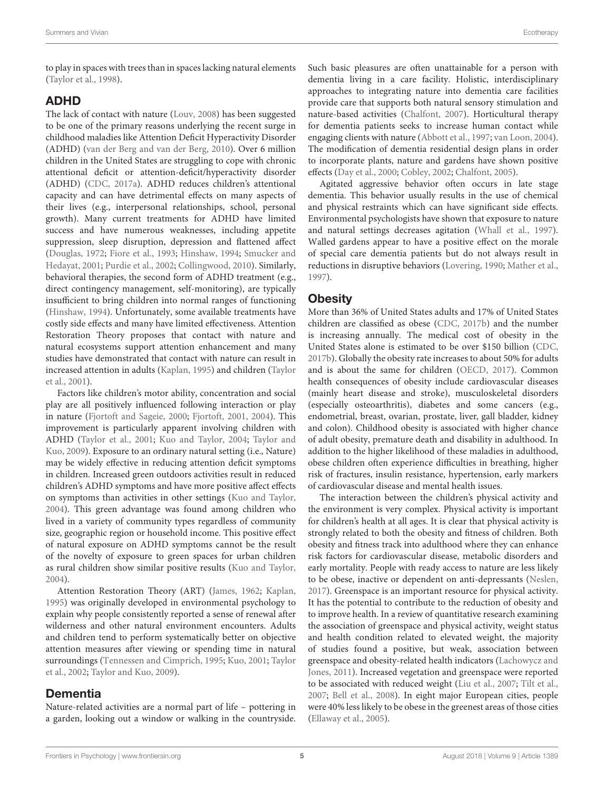to play in spaces with trees than in spaces lacking natural elements [\(Taylor et al.,](#page-12-22) [1998\)](#page-12-22).

# ADHD

The lack of contact with nature [\(Louv,](#page-10-23) [2008\)](#page-10-23) has been suggested to be one of the primary reasons underlying the recent surge in childhood maladies like Attention Deficit Hyperactivity Disorder (ADHD) [\(van der Berg and van der Berg,](#page-12-23) [2010\)](#page-12-23). Over 6 million children in the United States are struggling to cope with chronic attentional deficit or attention-deficit/hyperactivity disorder (ADHD) [\(CDC,](#page-8-15) [2017a\)](#page-8-15). ADHD reduces children's attentional capacity and can have detrimental effects on many aspects of their lives (e.g., interpersonal relationships, school, personal growth). Many current treatments for ADHD have limited success and have numerous weaknesses, including appetite suppression, sleep disruption, depression and flattened affect [\(Douglas,](#page-9-23) [1972;](#page-9-23) [Fiore et al.,](#page-9-24) [1993;](#page-9-24) [Hinshaw,](#page-9-25) [1994;](#page-9-25) [Smucker and](#page-11-22) [Hedayat,](#page-11-22) [2001;](#page-11-22) [Purdie et al.,](#page-11-23) [2002;](#page-11-23) [Collingwood,](#page-9-26) [2010\)](#page-9-26). Similarly, behavioral therapies, the second form of ADHD treatment (e.g., direct contingency management, self-monitoring), are typically insufficient to bring children into normal ranges of functioning [\(Hinshaw,](#page-9-25) [1994\)](#page-9-25). Unfortunately, some available treatments have costly side effects and many have limited effectiveness. Attention Restoration Theory proposes that contact with nature and natural ecosystems support attention enhancement and many studies have demonstrated that contact with nature can result in increased attention in adults [\(Kaplan,](#page-10-24) [1995\)](#page-10-24) and children [\(Taylor](#page-12-24) [et al.,](#page-12-24) [2001\)](#page-12-24).

Factors like children's motor ability, concentration and social play are all positively influenced following interaction or play in nature [\(Fjortoft and Sageie,](#page-9-27) [2000;](#page-9-27) [Fjortoft,](#page-9-28) [2001,](#page-9-28) [2004\)](#page-9-29). This improvement is particularly apparent involving children with ADHD [\(Taylor et al.,](#page-12-24) [2001;](#page-12-24) [Kuo and Taylor,](#page-10-25) [2004;](#page-10-25) [Taylor and](#page-12-25) [Kuo,](#page-12-25) [2009\)](#page-12-25). Exposure to an ordinary natural setting (i.e., Nature) may be widely effective in reducing attention deficit symptoms in children. Increased green outdoors activities result in reduced children's ADHD symptoms and have more positive affect effects on symptoms than activities in other settings [\(Kuo and Taylor,](#page-10-25) [2004\)](#page-10-25). This green advantage was found among children who lived in a variety of community types regardless of community size, geographic region or household income. This positive effect of natural exposure on ADHD symptoms cannot be the result of the novelty of exposure to green spaces for urban children as rural children show similar positive results [\(Kuo and Taylor,](#page-10-25) [2004\)](#page-10-25).

Attention Restoration Theory (ART) [\(James,](#page-10-26) [1962;](#page-10-26) [Kaplan,](#page-10-24) [1995\)](#page-10-24) was originally developed in environmental psychology to explain why people consistently reported a sense of renewal after wilderness and other natural environment encounters. Adults and children tend to perform systematically better on objective attention measures after viewing or spending time in natural surroundings [\(Tennessen and Cimprich,](#page-12-26) [1995;](#page-12-26) [Kuo,](#page-10-27) [2001;](#page-10-27) [Taylor](#page-12-27) [et al.,](#page-12-27) [2002;](#page-12-27) [Taylor and Kuo,](#page-12-25) [2009\)](#page-12-25).

## Dementia

Nature-related activities are a normal part of life – pottering in a garden, looking out a window or walking in the countryside. Such basic pleasures are often unattainable for a person with dementia living in a care facility. Holistic, interdisciplinary approaches to integrating nature into dementia care facilities provide care that supports both natural sensory stimulation and nature-based activities [\(Chalfont,](#page-8-16) [2007\)](#page-8-16). Horticultural therapy for dementia patients seeks to increase human contact while engaging clients with nature [\(Abbott et al.,](#page-8-17) [1997;](#page-8-17) [van Loon,](#page-12-28) [2004\)](#page-12-28). The modification of dementia residential design plans in order to incorporate plants, nature and gardens have shown positive effects [\(Day et al.,](#page-9-30) [2000;](#page-9-30) [Cobley,](#page-9-31) [2002;](#page-9-31) [Chalfont,](#page-8-18) [2005\)](#page-8-18).

Agitated aggressive behavior often occurs in late stage dementia. This behavior usually results in the use of chemical and physical restraints which can have significant side effects. Environmental psychologists have shown that exposure to nature and natural settings decreases agitation [\(Whall et al.,](#page-12-29) [1997\)](#page-12-29). Walled gardens appear to have a positive effect on the morale of special care dementia patients but do not always result in reductions in disruptive behaviors [\(Lovering,](#page-10-28) [1990;](#page-10-28) [Mather et al.,](#page-10-29) [1997\)](#page-10-29).

## **Obesity**

More than 36% of United States adults and 17% of United States children are classified as obese [\(CDC,](#page-8-19) [2017b\)](#page-8-19) and the number is increasing annually. The medical cost of obesity in the United States alone is estimated to be over \$150 billion [\(CDC,](#page-8-19) [2017b\)](#page-8-19). Globally the obesity rate increases to about 50% for adults and is about the same for children [\(OECD,](#page-11-24) [2017\)](#page-11-24). Common health consequences of obesity include cardiovascular diseases (mainly heart disease and stroke), musculoskeletal disorders (especially osteoarthritis), diabetes and some cancers (e.g., endometrial, breast, ovarian, prostate, liver, gall bladder, kidney and colon). Childhood obesity is associated with higher chance of adult obesity, premature death and disability in adulthood. In addition to the higher likelihood of these maladies in adulthood, obese children often experience difficulties in breathing, higher risk of fractures, insulin resistance, hypertension, early markers of cardiovascular disease and mental health issues.

The interaction between the children's physical activity and the environment is very complex. Physical activity is important for children's health at all ages. It is clear that physical activity is strongly related to both the obesity and fitness of children. Both obesity and fitness track into adulthood where they can enhance risk factors for cardiovascular disease, metabolic disorders and early mortality. People with ready access to nature are less likely to be obese, inactive or dependent on anti-depressants [\(Neslen,](#page-11-25) [2017\)](#page-11-25). Greenspace is an important resource for physical activity. It has the potential to contribute to the reduction of obesity and to improve health. In a review of quantitative research examining the association of greenspace and physical activity, weight status and health condition related to elevated weight, the majority of studies found a positive, but weak, association between greenspace and obesity-related health indicators [\(Lachowycz and](#page-10-30) [Jones,](#page-10-30) [2011\)](#page-10-30). Increased vegetation and greenspace were reported to be associated with reduced weight [\(Liu et al.,](#page-10-31) [2007;](#page-10-31) [Tilt et al.,](#page-12-30) [2007;](#page-12-30) [Bell et al.,](#page-8-20) [2008\)](#page-8-20). In eight major European cities, people were 40% less likely to be obese in the greenest areas of those cities [\(Ellaway et al.,](#page-9-32) [2005\)](#page-9-32).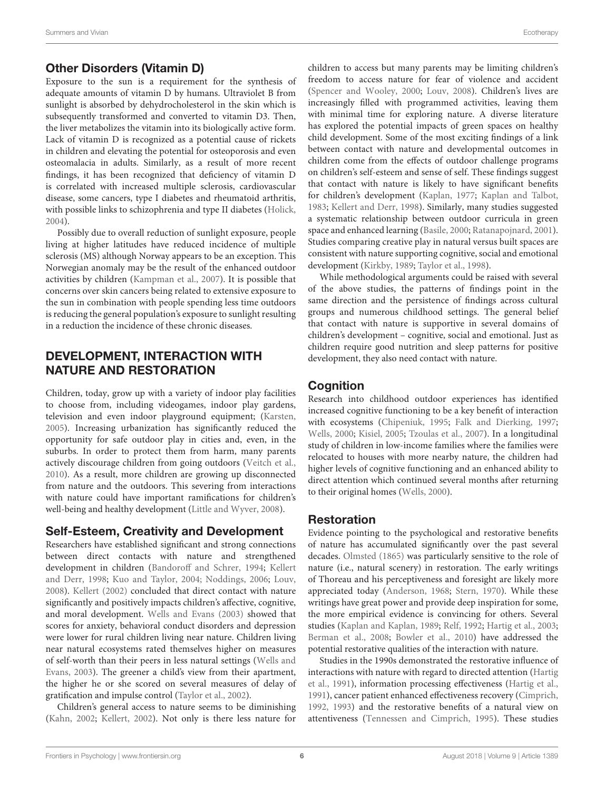# Other Disorders (Vitamin D)

Exposure to the sun is a requirement for the synthesis of adequate amounts of vitamin D by humans. Ultraviolet B from sunlight is absorbed by dehydrocholesterol in the skin which is subsequently transformed and converted to vitamin D3. Then, the liver metabolizes the vitamin into its biologically active form. Lack of vitamin D is recognized as a potential cause of rickets in children and elevating the potential for osteoporosis and even osteomalacia in adults. Similarly, as a result of more recent findings, it has been recognized that deficiency of vitamin D is correlated with increased multiple sclerosis, cardiovascular disease, some cancers, type I diabetes and rheumatoid arthritis, with possible links to schizophrenia and type II diabetes [\(Holick,](#page-10-32) [2004\)](#page-10-32).

Possibly due to overall reduction of sunlight exposure, people living at higher latitudes have reduced incidence of multiple sclerosis (MS) although Norway appears to be an exception. This Norwegian anomaly may be the result of the enhanced outdoor activities by children [\(Kampman et al.,](#page-10-33) [2007\)](#page-10-33). It is possible that concerns over skin cancers being related to extensive exposure to the sun in combination with people spending less time outdoors is reducing the general population's exposure to sunlight resulting in a reduction the incidence of these chronic diseases.

# DEVELOPMENT, INTERACTION WITH NATURE AND RESTORATION

Children, today, grow up with a variety of indoor play facilities to choose from, including videogames, indoor play gardens, television and even indoor playground equipment; [\(Karsten,](#page-10-34) [2005\)](#page-10-34). Increasing urbanization has significantly reduced the opportunity for safe outdoor play in cities and, even, in the suburbs. In order to protect them from harm, many parents actively discourage children from going outdoors [\(Veitch et al.,](#page-12-31) [2010\)](#page-12-31). As a result, more children are growing up disconnected from nature and the outdoors. This severing from interactions with nature could have important ramifications for children's well-being and healthy development [\(Little and Wyver,](#page-10-5) [2008\)](#page-10-5).

# Self-Esteem, Creativity and Development

Researchers have established significant and strong connections between direct contacts with nature and strengthened development in children [\(Bandoroff and Schrer,](#page-8-21) [1994;](#page-8-21) [Kellert](#page-10-35) [and Derr,](#page-10-35) [1998;](#page-10-35) [Kuo and Taylor,](#page-10-25) [2004;](#page-10-25) [Noddings,](#page-11-26) [2006;](#page-11-26) [Louv,](#page-10-23) [2008\)](#page-10-23). [Kellert](#page-10-36) [\(2002\)](#page-10-36) concluded that direct contact with nature significantly and positively impacts children's affective, cognitive, and moral development. [Wells and Evans](#page-12-21) [\(2003\)](#page-12-21) showed that scores for anxiety, behavioral conduct disorders and depression were lower for rural children living near nature. Children living near natural ecosystems rated themselves higher on measures of self-worth than their peers in less natural settings [\(Wells and](#page-12-21) [Evans,](#page-12-21) [2003\)](#page-12-21). The greener a child's view from their apartment, the higher he or she scored on several measures of delay of gratification and impulse control [\(Taylor et al.,](#page-12-27) [2002\)](#page-12-27).

Children's general access to nature seems to be diminishing [\(Kahn,](#page-10-37) [2002;](#page-10-37) [Kellert,](#page-10-36) [2002\)](#page-10-36). Not only is there less nature for children to access but many parents may be limiting children's freedom to access nature for fear of violence and accident [\(Spencer and Wooley,](#page-11-27) [2000;](#page-11-27) [Louv,](#page-10-23) [2008\)](#page-10-23). Children's lives are increasingly filled with programmed activities, leaving them with minimal time for exploring nature. A diverse literature has explored the potential impacts of green spaces on healthy child development. Some of the most exciting findings of a link between contact with nature and developmental outcomes in children come from the effects of outdoor challenge programs on children's self-esteem and sense of self. These findings suggest that contact with nature is likely to have significant benefits for children's development [\(Kaplan,](#page-10-38) [1977;](#page-10-38) [Kaplan and Talbot,](#page-10-39) [1983;](#page-10-39) [Kellert and Derr,](#page-10-35) [1998\)](#page-10-35). Similarly, many studies suggested a systematic relationship between outdoor curricula in green space and enhanced learning [\(Basile,](#page-8-22) [2000;](#page-8-22) [Ratanapojnard,](#page-11-28) [2001\)](#page-11-28). Studies comparing creative play in natural versus built spaces are consistent with nature supporting cognitive, social and emotional development [\(Kirkby,](#page-10-40) [1989;](#page-10-40) [Taylor et al.,](#page-12-22) [1998\)](#page-12-22).

While methodological arguments could be raised with several of the above studies, the patterns of findings point in the same direction and the persistence of findings across cultural groups and numerous childhood settings. The general belief that contact with nature is supportive in several domains of children's development – cognitive, social and emotional. Just as children require good nutrition and sleep patterns for positive development, they also need contact with nature.

# Cognition

Research into childhood outdoor experiences has identified increased cognitive functioning to be a key benefit of interaction with ecosystems [\(Chipeniuk,](#page-8-23) [1995;](#page-8-23) [Falk and Dierking,](#page-9-33) [1997;](#page-9-33) [Wells,](#page-12-32) [2000;](#page-12-32) [Kisiel,](#page-10-41) [2005;](#page-10-41) [Tzoulas et al.,](#page-12-33) [2007\)](#page-12-33). In a longitudinal study of children in low-income families where the families were relocated to houses with more nearby nature, the children had higher levels of cognitive functioning and an enhanced ability to direct attention which continued several months after returning to their original homes [\(Wells,](#page-12-32) [2000\)](#page-12-32).

# Restoration

Evidence pointing to the psychological and restorative benefits of nature has accumulated significantly over the past several decades. [Olmsted](#page-11-29) [\(1865\)](#page-11-29) was particularly sensitive to the role of nature (i.e., natural scenery) in restoration. The early writings of Thoreau and his perceptiveness and foresight are likely more appreciated today [\(Anderson,](#page-8-24) [1968;](#page-8-24) [Stern,](#page-11-30) [1970\)](#page-11-30). While these writings have great power and provide deep inspiration for some, the more empirical evidence is convincing for others. Several studies [\(Kaplan and Kaplan,](#page-10-13) [1989;](#page-10-13) [Relf,](#page-11-31) [1992;](#page-11-31) [Hartig et al.,](#page-9-34) [2003;](#page-9-34) [Berman et al.,](#page-8-25) [2008;](#page-8-25) [Bowler et al.,](#page-8-26) [2010\)](#page-8-26) have addressed the potential restorative qualities of the interaction with nature.

Studies in the 1990s demonstrated the restorative influence of interactions with nature with regard to directed attention [\(Hartig](#page-9-35) [et al.,](#page-9-35) [1991\)](#page-9-35), information processing effectiveness [\(Hartig et al.,](#page-9-35) [1991\)](#page-9-35), cancer patient enhanced effectiveness recovery [\(Cimprich,](#page-8-27) [1992,](#page-8-27) [1993\)](#page-8-28) and the restorative benefits of a natural view on attentiveness [\(Tennessen and Cimprich,](#page-12-26) [1995\)](#page-12-26). These studies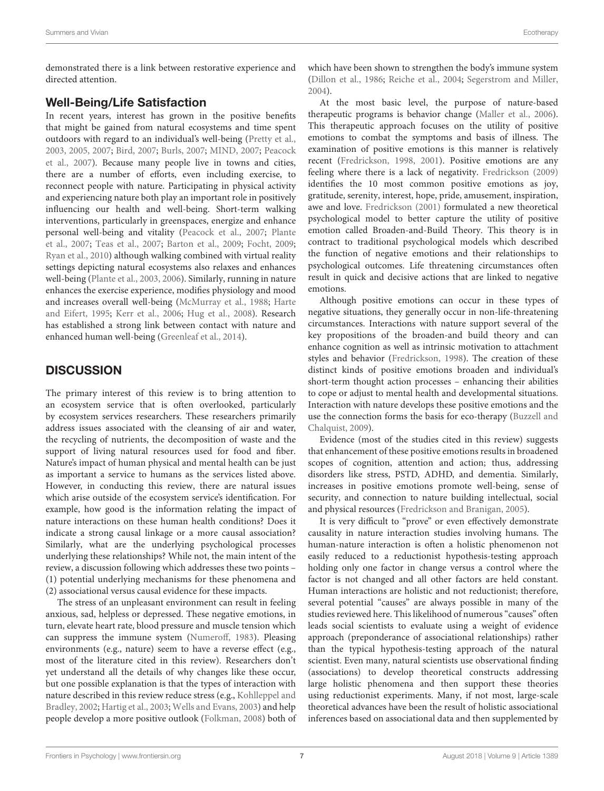demonstrated there is a link between restorative experience and directed attention.

## Well-Being/Life Satisfaction

In recent years, interest has grown in the positive benefits that might be gained from natural ecosystems and time spent outdoors with regard to an individual's well-being [\(Pretty et al.,](#page-11-32) [2003,](#page-11-32) [2005,](#page-11-3) [2007;](#page-11-4) [Bird,](#page-8-29) [2007;](#page-8-29) [Burls,](#page-8-9) [2007;](#page-8-9) [MIND,](#page-10-42) [2007;](#page-10-42) [Peacock](#page-11-33) [et al.,](#page-11-33) [2007\)](#page-11-33). Because many people live in towns and cities, there are a number of efforts, even including exercise, to reconnect people with nature. Participating in physical activity and experiencing nature both play an important role in positively influencing our health and well-being. Short-term walking interventions, particularly in greenspaces, energize and enhance personal well-being and vitality [\(Peacock et al.,](#page-11-33) [2007;](#page-11-33) [Plante](#page-11-34) [et al.,](#page-11-34) [2007;](#page-11-34) [Teas et al.,](#page-12-34) [2007;](#page-12-34) [Barton et al.,](#page-8-30) [2009;](#page-8-30) [Focht,](#page-9-36) [2009;](#page-9-36) [Ryan et al.,](#page-11-35) [2010\)](#page-11-35) although walking combined with virtual reality settings depicting natural ecosystems also relaxes and enhances well-being [\(Plante et al.,](#page-11-36) [2003,](#page-11-36) [2006\)](#page-11-37). Similarly, running in nature enhances the exercise experience, modifies physiology and mood and increases overall well-being [\(McMurray et al.,](#page-10-43) [1988;](#page-10-43) [Harte](#page-9-37) [and Eifert,](#page-9-37) [1995;](#page-9-37) [Kerr et al.,](#page-10-44) [2006;](#page-10-44) [Hug et al.,](#page-10-45) [2008\)](#page-10-45). Research has established a strong link between contact with nature and enhanced human well-being [\(Greenleaf et al.,](#page-9-38) [2014\)](#page-9-38).

# **DISCUSSION**

The primary interest of this review is to bring attention to an ecosystem service that is often overlooked, particularly by ecosystem services researchers. These researchers primarily address issues associated with the cleansing of air and water, the recycling of nutrients, the decomposition of waste and the support of living natural resources used for food and fiber. Nature's impact of human physical and mental health can be just as important a service to humans as the services listed above. However, in conducting this review, there are natural issues which arise outside of the ecosystem service's identification. For example, how good is the information relating the impact of nature interactions on these human health conditions? Does it indicate a strong causal linkage or a more causal association? Similarly, what are the underlying psychological processes underlying these relationships? While not, the main intent of the review, a discussion following which addresses these two points – (1) potential underlying mechanisms for these phenomena and (2) associational versus causal evidence for these impacts.

The stress of an unpleasant environment can result in feeling anxious, sad, helpless or depressed. These negative emotions, in turn, elevate heart rate, blood pressure and muscle tension which can suppress the immune system [\(Numeroff,](#page-11-38) [1983\)](#page-11-38). Pleasing environments (e.g., nature) seem to have a reverse effect (e.g., most of the literature cited in this review). Researchers don't yet understand all the details of why changes like these occur, but one possible explanation is that the types of interaction with nature described in this review reduce stress (e.g., [Kohlleppel and](#page-10-22) [Bradley,](#page-10-22) [2002;](#page-10-22) [Hartig et al.,](#page-9-34) [2003;](#page-9-34) [Wells and Evans,](#page-12-21) [2003\)](#page-12-21) and help people develop a more positive outlook [\(Folkman,](#page-9-39) [2008\)](#page-9-39) both of which have been shown to strengthen the body's immune system [\(Dillon et al.,](#page-9-40) [1986;](#page-9-40) [Reiche et al.,](#page-11-39) [2004;](#page-11-39) [Segerstrom and Miller,](#page-11-40) [2004\)](#page-11-40).

At the most basic level, the purpose of nature-based therapeutic programs is behavior change [\(Maller et al.,](#page-10-46) [2006\)](#page-10-46). This therapeutic approach focuses on the utility of positive emotions to combat the symptoms and basis of illness. The examination of positive emotions is this manner is relatively recent [\(Fredrickson,](#page-9-41) [1998,](#page-9-41) [2001\)](#page-9-42). Positive emotions are any feeling where there is a lack of negativity. [Fredrickson](#page-9-43) [\(2009\)](#page-9-43) identifies the 10 most common positive emotions as joy, gratitude, serenity, interest, hope, pride, amusement, inspiration, awe and love. [Fredrickson](#page-9-42) [\(2001\)](#page-9-42) formulated a new theoretical psychological model to better capture the utility of positive emotion called Broaden-and-Build Theory. This theory is in contract to traditional psychological models which described the function of negative emotions and their relationships to psychological outcomes. Life threatening circumstances often result in quick and decisive actions that are linked to negative emotions.

Although positive emotions can occur in these types of negative situations, they generally occur in non-life-threatening circumstances. Interactions with nature support several of the key propositions of the broaden-and build theory and can enhance cognition as well as intrinsic motivation to attachment styles and behavior [\(Fredrickson,](#page-9-41) [1998\)](#page-9-41). The creation of these distinct kinds of positive emotions broaden and individual's short-term thought action processes – enhancing their abilities to cope or adjust to mental health and developmental situations. Interaction with nature develops these positive emotions and the use the connection forms the basis for eco-therapy [\(Buzzell and](#page-8-0) [Chalquist,](#page-8-0) [2009\)](#page-8-0).

Evidence (most of the studies cited in this review) suggests that enhancement of these positive emotions results in broadened scopes of cognition, attention and action; thus, addressing disorders like stress, PSTD, ADHD, and dementia. Similarly, increases in positive emotions promote well-being, sense of security, and connection to nature building intellectual, social and physical resources [\(Fredrickson and Branigan,](#page-9-44) [2005\)](#page-9-44).

It is very difficult to "prove" or even effectively demonstrate causality in nature interaction studies involving humans. The human-nature interaction is often a holistic phenomenon not easily reduced to a reductionist hypothesis-testing approach holding only one factor in change versus a control where the factor is not changed and all other factors are held constant. Human interactions are holistic and not reductionist; therefore, several potential "causes" are always possible in many of the studies reviewed here. This likelihood of numerous "causes" often leads social scientists to evaluate using a weight of evidence approach (preponderance of associational relationships) rather than the typical hypothesis-testing approach of the natural scientist. Even many, natural scientists use observational finding (associations) to develop theoretical constructs addressing large holistic phenomena and then support these theories using reductionist experiments. Many, if not most, large-scale theoretical advances have been the result of holistic associational inferences based on associational data and then supplemented by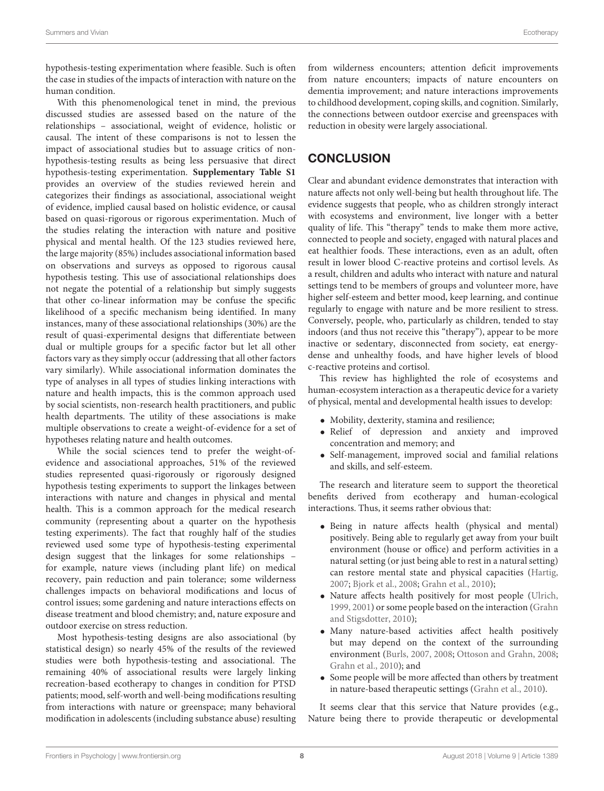hypothesis-testing experimentation where feasible. Such is often the case in studies of the impacts of interaction with nature on the human condition.

With this phenomenological tenet in mind, the previous discussed studies are assessed based on the nature of the relationships – associational, weight of evidence, holistic or causal. The intent of these comparisons is not to lessen the impact of associational studies but to assuage critics of nonhypothesis-testing results as being less persuasive that direct hypothesis-testing experimentation. **[Supplementary Table S1](#page-8-31)** provides an overview of the studies reviewed herein and categorizes their findings as associational, associational weight of evidence, implied causal based on holistic evidence, or causal based on quasi-rigorous or rigorous experimentation. Much of the studies relating the interaction with nature and positive physical and mental health. Of the 123 studies reviewed here, the large majority (85%) includes associational information based on observations and surveys as opposed to rigorous causal hypothesis testing. This use of associational relationships does not negate the potential of a relationship but simply suggests that other co-linear information may be confuse the specific likelihood of a specific mechanism being identified. In many instances, many of these associational relationships (30%) are the result of quasi-experimental designs that differentiate between dual or multiple groups for a specific factor but let all other factors vary as they simply occur (addressing that all other factors vary similarly). While associational information dominates the type of analyses in all types of studies linking interactions with nature and health impacts, this is the common approach used by social scientists, non-research health practitioners, and public health departments. The utility of these associations is make multiple observations to create a weight-of-evidence for a set of hypotheses relating nature and health outcomes.

While the social sciences tend to prefer the weight-ofevidence and associational approaches, 51% of the reviewed studies represented quasi-rigorously or rigorously designed hypothesis testing experiments to support the linkages between interactions with nature and changes in physical and mental health. This is a common approach for the medical research community (representing about a quarter on the hypothesis testing experiments). The fact that roughly half of the studies reviewed used some type of hypothesis-testing experimental design suggest that the linkages for some relationships – for example, nature views (including plant life) on medical recovery, pain reduction and pain tolerance; some wilderness challenges impacts on behavioral modifications and locus of control issues; some gardening and nature interactions effects on disease treatment and blood chemistry; and, nature exposure and outdoor exercise on stress reduction.

Most hypothesis-testing designs are also associational (by statistical design) so nearly 45% of the results of the reviewed studies were both hypothesis-testing and associational. The remaining 40% of associational results were largely linking recreation-based ecotherapy to changes in condition for PTSD patients; mood, self-worth and well-being modifications resulting from interactions with nature or greenspace; many behavioral modification in adolescents (including substance abuse) resulting

from wilderness encounters; attention deficit improvements from nature encounters; impacts of nature encounters on dementia improvement; and nature interactions improvements to childhood development, coping skills, and cognition. Similarly, the connections between outdoor exercise and greenspaces with reduction in obesity were largely associational.

# **CONCLUSION**

Clear and abundant evidence demonstrates that interaction with nature affects not only well-being but health throughout life. The evidence suggests that people, who as children strongly interact with ecosystems and environment, live longer with a better quality of life. This "therapy" tends to make them more active, connected to people and society, engaged with natural places and eat healthier foods. These interactions, even as an adult, often result in lower blood C-reactive proteins and cortisol levels. As a result, children and adults who interact with nature and natural settings tend to be members of groups and volunteer more, have higher self-esteem and better mood, keep learning, and continue regularly to engage with nature and be more resilient to stress. Conversely, people, who, particularly as children, tended to stay indoors (and thus not receive this "therapy"), appear to be more inactive or sedentary, disconnected from society, eat energydense and unhealthy foods, and have higher levels of blood c-reactive proteins and cortisol.

This review has highlighted the role of ecosystems and human-ecosystem interaction as a therapeutic device for a variety of physical, mental and developmental health issues to develop:

- Mobility, dexterity, stamina and resilience;
- Relief of depression and anxiety and improved concentration and memory; and
- Self-management, improved social and familial relations and skills, and self-esteem.

The research and literature seem to support the theoretical benefits derived from ecotherapy and human-ecological interactions. Thus, it seems rather obvious that:

- Being in nature affects health (physical and mental) positively. Being able to regularly get away from your built environment (house or office) and perform activities in a natural setting (or just being able to rest in a natural setting) can restore mental state and physical capacities [\(Hartig,](#page-9-45) [2007;](#page-9-45) [Bjork et al.,](#page-8-32) [2008;](#page-8-32) [Grahn et al.,](#page-9-46) [2010\)](#page-9-46);
- Nature affects health positively for most people [\(Ulrich,](#page-12-35) [1999,](#page-12-35) [2001\)](#page-12-36) or some people based on the interaction [\(Grahn](#page-9-47) [and Stigsdotter,](#page-9-47) [2010\)](#page-9-47);
- Many nature-based activities affect health positively but may depend on the context of the surrounding environment [\(Burls,](#page-8-9) [2007,](#page-8-9) [2008;](#page-8-33) [Ottoson and Grahn,](#page-11-41) [2008;](#page-11-41) [Grahn et al.,](#page-9-46) [2010\)](#page-9-46); and
- Some people will be more affected than others by treatment in nature-based therapeutic settings [\(Grahn et al.,](#page-9-46) [2010\)](#page-9-46).

It seems clear that this service that Nature provides (e.g., Nature being there to provide therapeutic or developmental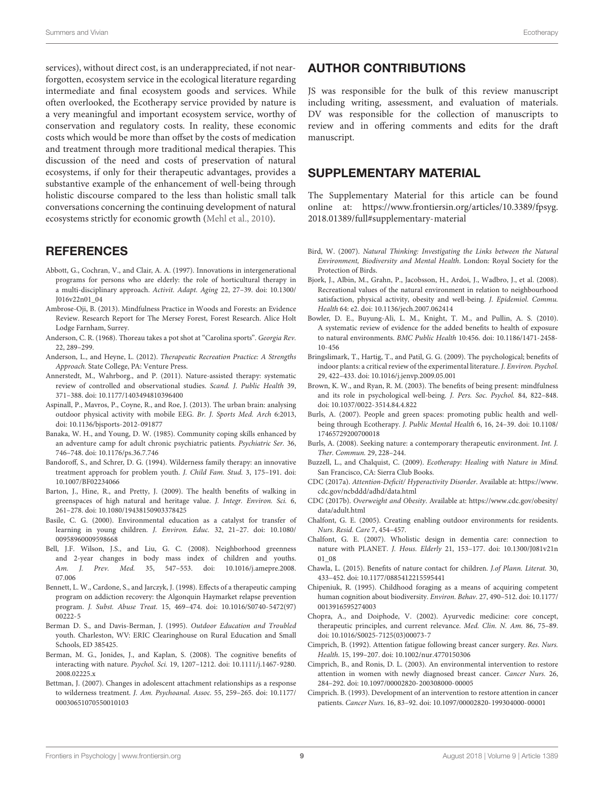services), without direct cost, is an underappreciated, if not nearforgotten, ecosystem service in the ecological literature regarding intermediate and final ecosystem goods and services. While often overlooked, the Ecotherapy service provided by nature is a very meaningful and important ecosystem service, worthy of conservation and regulatory costs. In reality, these economic costs which would be more than offset by the costs of medication and treatment through more traditional medical therapies. This discussion of the need and costs of preservation of natural ecosystems, if only for their therapeutic advantages, provides a substantive example of the enhancement of well-being through holistic discourse compared to the less than holistic small talk conversations concerning the continuing development of natural ecosystems strictly for economic growth [\(Mehl et al.,](#page-10-47) [2010\)](#page-10-47).

## **REFERENCES**

- <span id="page-8-17"></span>Abbott, G., Cochran, V., and Clair, A. A. (1997). Innovations in intergenerational programs for persons who are elderly: the role of horticultural therapy in a multi-disciplinary approach. Activit. Adapt. Aging 22, 27–39. [doi: 10.1300/](https://doi.org/10.1300/J016v22n01_04) [J016v22n01\\_04](https://doi.org/10.1300/J016v22n01_04)
- <span id="page-8-1"></span>Ambrose-Oji, B. (2013). Mindfulness Practice in Woods and Forests: an Evidence Review. Research Report for The Mersey Forest, Forest Research. Alice Holt Lodge Farnham, Surrey.
- <span id="page-8-24"></span>Anderson, C. R. (1968). Thoreau takes a pot shot at "Carolina sports". Georgia Rev. 22, 289–299.
- <span id="page-8-7"></span>Anderson, L., and Heyne, L. (2012). Therapeutic Recreation Practice: A Strengths Approach. State College, PA: Venture Press.
- <span id="page-8-10"></span>Annerstedt, M., Wahrborg., and P. (2011). Nature-assisted therapy: systematic review of controlled and observational studies. Scand. J. Public Health 39, 371–388. [doi: 10.1177/1403494810396400](https://doi.org/10.1177/1403494810396400)
- <span id="page-8-5"></span>Aspinall, P., Mavros, P., Coyne, R., and Roe, J. (2013). The urban brain: analysing outdoor physical activity with mobile EEG. Br. J. Sports Med. Arch 6:2013, [doi: 10.1136/bjsports-2012-091877](https://doi.org/10.1136/bjsports-2012-091877)
- <span id="page-8-12"></span>Banaka, W. H., and Young, D. W. (1985). Community coping skills enhanced by an adventure camp for adult chronic psychiatric patients. Psychiatric Ser. 36, 746–748. [doi: 10.1176/ps.36.7.746](https://doi.org/10.1176/ps.36.7.746)
- <span id="page-8-21"></span>Bandoroff, S., and Schrer, D. G. (1994). Wilderness family therapy: an innovative treatment approach for problem youth. J. Child Fam. Stud. 3, 175–191. [doi:](https://doi.org/10.1007/BF02234066) [10.1007/BF02234066](https://doi.org/10.1007/BF02234066)
- <span id="page-8-30"></span>Barton, J., Hine, R., and Pretty, J. (2009). The health benefits of walking in greenspaces of high natural and heritage value. J. Integr. Environ. Sci. 6, 261–278. [doi: 10.1080/19438150903378425](https://doi.org/10.1080/19438150903378425)
- <span id="page-8-22"></span>Basile, C. G. (2000). Environmental education as a catalyst for transfer of learning in young children. J. Environ. Educ. 32, 21–27. [doi: 10.1080/](https://doi.org/10.1080/00958960009598668) [00958960009598668](https://doi.org/10.1080/00958960009598668)
- <span id="page-8-20"></span>Bell, J.F. Wilson, J.S., and Liu, G. C. (2008). Neighborhood greenness and 2-year changes in body mass index of children and youths. Am. J. Prev. Med. 35, 547–553. [doi: 10.1016/j.amepre.2008.](https://doi.org/10.1016/j.amepre.2008.07.006) [07.006](https://doi.org/10.1016/j.amepre.2008.07.006)
- <span id="page-8-11"></span>Bennett, L. W., Cardone, S., and Jarczyk, J. (1998). Effects of a therapeutic camping program on addiction recovery: the Algonquin Haymarket relapse prevention program. J. Subst. Abuse Treat. 15, 469–474. [doi: 10.1016/S0740-5472\(97\)](https://doi.org/10.1016/S0740-5472(97)00222-5) [00222-5](https://doi.org/10.1016/S0740-5472(97)00222-5)
- <span id="page-8-8"></span>Berman D. S., and Davis-Berman, J. (1995). Outdoor Education and Troubled youth. Charleston, WV: ERIC Clearinghouse on Rural Education and Small Schools, ED 385425.
- <span id="page-8-25"></span>Berman, M. G., Jonides, J., and Kaplan, S. (2008). The cognitive benefits of interacting with nature. Psychol. Sci. 19, 1207–1212. [doi: 10.1111/j.1467-9280.](https://doi.org/10.1111/j.1467-9280.2008.02225.x) [2008.02225.x](https://doi.org/10.1111/j.1467-9280.2008.02225.x)
- <span id="page-8-13"></span>Bettman, J. (2007). Changes in adolescent attachment relationships as a response to wilderness treatment. J. Am. Psychoanal. Assoc. 55, 259–265. [doi: 10.1177/](https://doi.org/10.1177/00030651070550010103) [00030651070550010103](https://doi.org/10.1177/00030651070550010103)

### AUTHOR CONTRIBUTIONS

JS was responsible for the bulk of this review manuscript including writing, assessment, and evaluation of materials. DV was responsible for the collection of manuscripts to review and in offering comments and edits for the draft manuscript.

### <span id="page-8-31"></span>SUPPLEMENTARY MATERIAL

The Supplementary Material for this article can be found online at: [https://www.frontiersin.org/articles/10.3389/fpsyg.](https://www.frontiersin.org/articles/10.3389/fpsyg.2018.01389/full#supplementary-material) [2018.01389/full#supplementary-material](https://www.frontiersin.org/articles/10.3389/fpsyg.2018.01389/full#supplementary-material)

- <span id="page-8-29"></span>Bird, W. (2007). Natural Thinking: Investigating the Links between the Natural Environment, Biodiversity and Mental Health. London: Royal Society for the Protection of Birds.
- <span id="page-8-32"></span>Bjork, J., Albin, M., Grahn, P., Jacobsson, H., Ardoi, J., Wadbro, J., et al. (2008). Recreational values of the natural environment in relation to neighbourhood satisfaction, physical activity, obesity and well-being. J. Epidemiol. Commu. Health 64: e2. [doi: 10.1136/jech.2007.062414](https://doi.org/10.1136/jech.2007.062414)
- <span id="page-8-26"></span>Bowler, D. E., Buyung-Ali, L. M., Knight, T. M., and Pullin, A. S. (2010). A systematic review of evidence for the added benefits to health of exposure to natural environments. BMC Public Health 10:456. [doi: 10.1186/1471-2458-](https://doi.org/10.1186/1471-2458-10-456) [10-456](https://doi.org/10.1186/1471-2458-10-456)
- <span id="page-8-6"></span>Bringslimark, T., Hartig, T., and Patil, G. G. (2009). The psychological; benefits of indoor plants: a critical review of the experimental literature. J. Environ. Psychol. 29, 422–433. [doi: 10.1016/j.jenvp.2009.05.001](https://doi.org/10.1016/j.jenvp.2009.05.001)
- <span id="page-8-4"></span>Brown, K. W., and Ryan, R. M. (2003). The benefits of being present: mindfulness and its role in psychological well-being. J. Pers. Soc. Psychol. 84, 822–848. [doi: 10.1037/0022-3514.84.4.822](https://doi.org/10.1037/0022-3514.84.4.822)
- <span id="page-8-9"></span>Burls, A. (2007). People and green spaces: promoting public health and wellbeing through Ecotherapy. J. Public Mental Health 6, 16, 24–39. [doi: 10.1108/](https://doi.org/10.1108/17465729200700018) [17465729200700018](https://doi.org/10.1108/17465729200700018)
- <span id="page-8-33"></span>Burls, A. (2008). Seeking nature: a contemporary therapeutic environment. Int. J. Ther. Commun. 29, 228–244.
- <span id="page-8-0"></span>Buzzell, L., and Chalquist, C. (2009). Ecotherapy: Healing with Nature in Mind. San Francisco, CA: Sierra Club Books.
- <span id="page-8-15"></span>CDC (2017a). Attention-Deficit/ Hyperactivity Disorder. Available at: [https://www.](https://www.cdc.gov/ncbddd/adhd/data.html) [cdc.gov/ncbddd/adhd/data.html](https://www.cdc.gov/ncbddd/adhd/data.html)
- <span id="page-8-19"></span>CDC (2017b). Overweight and Obesity. Available at: [https://www.cdc.gov/obesity/](https://www.cdc.gov/obesity/data/adult.html) [data/adult.html](https://www.cdc.gov/obesity/data/adult.html)
- <span id="page-8-18"></span>Chalfont, G. E. (2005). Creating enabling outdoor environments for residents. Nurs. Resid. Care 7, 454–457.
- <span id="page-8-16"></span>Chalfont, G. E. (2007). Wholistic design in dementia care: connection to nature with PLANET. J. Hous. Elderly 21, 153–177. [doi: 10.1300/J081v21n](https://doi.org/10.1300/J081v21n01_08) [01\\_08](https://doi.org/10.1300/J081v21n01_08)
- <span id="page-8-2"></span>Chawla, L. (2015). Benefits of nature contact for children. J.of Plann. Literat. 30, 433–452. [doi: 10.1177/0885412215595441](https://doi.org/10.1177/0885412215595441)
- <span id="page-8-23"></span>Chipeniuk, R. (1995). Childhood foraging as a means of acquiring competent human cognition about biodiversity. Environ. Behav. 27, 490–512. [doi: 10.1177/](https://doi.org/10.1177/0013916595274003) [0013916595274003](https://doi.org/10.1177/0013916595274003)
- <span id="page-8-3"></span>Chopra, A., and Doiphode, V. (2002). Ayurvedic medicine: core concept, therapeutic principles, and current relevance. Med. Clin. N. Am. 86, 75–89. [doi: 10.1016/S0025-7125\(03\)00073-7](https://doi.org/10.1016/S0025-7125(03)00073-7)
- <span id="page-8-27"></span>Cimprich, B. (1992). Attention fatigue following breast cancer surgery. Res. Nurs. Health. 15, 199–207. [doi: 10.1002/nur.4770150306](https://doi.org/10.1002/nur.4770150306)
- <span id="page-8-14"></span>Cimprich, B., and Ronis, D. L. (2003). An environmental intervention to restore attention in women with newly diagnosed breast cancer. Cancer Nurs. 26, 284–292. [doi: 10.1097/00002820-200308000-00005](https://doi.org/10.1097/00002820-200308000-00005)
- <span id="page-8-28"></span>Cimprich. B. (1993). Development of an intervention to restore attention in cancer patients. Cancer Nurs. 16, 83–92. [doi: 10.1097/00002820-199304000-00001](https://doi.org/10.1097/00002820-199304000-00001)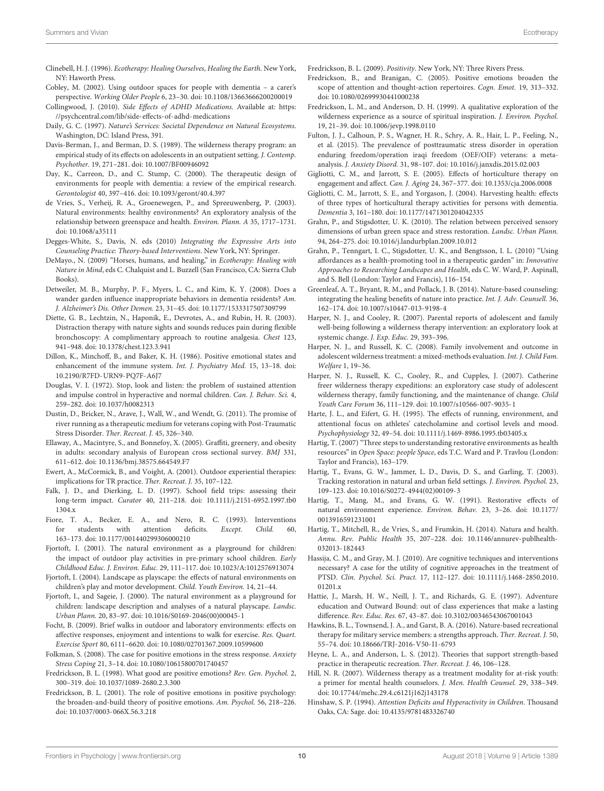- <span id="page-9-1"></span>Clinebell, H. J. (1996). Ecotherapy: Healing Ourselves, Healing the Earth. New York, NY: Haworth Press.
- <span id="page-9-31"></span>Cobley, M. (2002). Using outdoor spaces for people with dementia – a carer's perspective. Working Older People 6, 23–30. [doi: 10.1108/13663666200200019](https://doi.org/10.1108/13663666200200019)
- <span id="page-9-26"></span>Collingwood, J. (2010). Side Effects of ADHD Medications. Available at: [https:](https://psychcentral.com/lib/side-effects-of-adhd-medications) [//psychcentral.com/lib/side-effects-of-adhd-medications](https://psychcentral.com/lib/side-effects-of-adhd-medications)
- <span id="page-9-0"></span>Daily, G. C. (1997). Nature's Services: Societal Dependence on Natural Ecosystems. Washington, DC: Island Press, 391.
- <span id="page-9-18"></span>Davis-Berman, J., and Berman, D. S. (1989). The wilderness therapy program: an empirical study of its effects on adolescents in an outpatient setting. J. Contemp. Psychother. 19, 271–281. [doi: 10.1007/BF00946092](https://doi.org/10.1007/BF00946092)
- <span id="page-9-30"></span>Day, K., Carreon, D., and C. Stump, C. (2000). The therapeutic design of environments for people with dementia: a review of the empirical research. Gerontologist 40, 397–416. [doi: 10.1093/geront/40.4.397](https://doi.org/10.1093/geront/40.4.397)
- <span id="page-9-2"></span>de Vries, S., Verheij, R. A., Groenewegen, P., and Spreeuwenberg, P. (2003). Natural environments: healthy environments? An exploratory analysis of the relationship between greenspace and health. Environ. Plann. A 35, 1717–1731. [doi: 10.1068/a35111](https://doi.org/10.1068/a35111)
- <span id="page-9-3"></span>Degges-White, S., Davis, N. eds (2010) Integrating the Expressive Arts into Counseling Practice: Theory-based Interventions. New York, NY: Springer.
- <span id="page-9-4"></span>DeMayo., N. (2009) "Horses, humans, and healing," in Ecotherapy: Healing with Nature in Mind, eds C. Chalquist and L. Buzzell (San Francisco, CA: Sierra Club Books).
- <span id="page-9-22"></span>Detweiler, M. B., Murphy, P. F., Myers, L. C., and Kim, K. Y. (2008). Does a wander garden influence inappropriate behaviors in dementia residents? Am. J. Alzheimer's Dis. Other Demen. 23, 31–45. [doi: 10.1177/1533317507309799](https://doi.org/10.1177/1533317507309799)
- <span id="page-9-6"></span>Diette, G. B., Lechtzin, N., Haponik, E., Devrotes, A., and Rubin, H. R. (2003). Distraction therapy with nature sights and sounds reduces pain during flexible bronchoscopy: A complimentary approach to routine analgesia. Chest 123, 941–948. [doi: 10.1378/chest.123.3.941](https://doi.org/10.1378/chest.123.3.941)
- <span id="page-9-40"></span>Dillon, K., Minchoff, B., and Baker, K. H. (1986). Positive emotional states and enhancement of the immune system. Int. J. Psychiatry Med. 15, 13–18. [doi:](https://doi.org/10.2190/R7FD-URN9-PQ7F-A6J7) [10.2190/R7FD-URN9-PQ7F-A6J7](https://doi.org/10.2190/R7FD-URN9-PQ7F-A6J7)
- <span id="page-9-23"></span>Douglas, V. I. (1972). Stop, look and listen: the problem of sustained attention and impulse control in hyperactive and normal children. Can. J. Behav. Sci. 4, 259–282. [doi: 10.1037/h0082313](https://doi.org/10.1037/h0082313)
- <span id="page-9-14"></span>Dustin, D., Bricker, N., Arave, J., Wall, W., and Wendt, G. (2011). The promise of river running as a therapeutic medium for veterans coping with Post-Traumatic Stress Disorder. Ther. Recreat. J. 45, 326–340.
- <span id="page-9-32"></span>Ellaway, A., Macintyre, S., and Bonnefoy, X. (2005). Graffiti, greenery, and obesity in adults: secondary analysis of European cross sectional survey. BMJ 331, 611–612. [doi: 10.1136/bmj.38575.664549.F7](https://doi.org/10.1136/bmj.38575.664549.F7)
- <span id="page-9-13"></span>Ewert, A., McCormick, B., and Voight, A. (2001). Outdoor experiential therapies: implications for TR practice. Ther. Recreat. J. 35, 107–122.
- <span id="page-9-33"></span>Falk, J. D., and Dierking, L. D. (1997). School field trips: assessing their long-term impact. Curator 40, 211–218. [doi: 10.1111/j.2151-6952.1997.tb0](https://doi.org/10.1111/j.2151-6952.1997.tb01304.x) [1304.x](https://doi.org/10.1111/j.2151-6952.1997.tb01304.x)
- <span id="page-9-24"></span>Fiore, T. A., Becker, E. A., and Nero, R. C. (1993). Interventions for students with attention deficits. Except. Child. 60, 163–173. [doi: 10.1177/001440299306000210](https://doi.org/10.1177/001440299306000210)
- <span id="page-9-28"></span>Fjortoft, I. (2001). The natural environment as a playground for children: the impact of outdoor play activities in pre-primary school children. Early Childhood Educ. J. Environ. Educ. 29, 111–117. [doi: 10.1023/A:1012576913074](https://doi.org/10.1023/A:1012576913074)
- <span id="page-9-29"></span>Fjortoft, I. (2004). Landscape as playscape: the effects of natural environments on children's play and motor development. Child. Youth Environ. 14, 21–44.
- <span id="page-9-27"></span>Fjortoft, I., and Sageie, J. (2000). The natural environment as a playground for children: landscape description and analyses of a natural playscape. Landsc. Urban Plann. 20, 83–97. [doi: 10.1016/S0169-2046\(00\)00045-1](https://doi.org/10.1016/S0169-2046(00)00045-1)
- <span id="page-9-36"></span>Focht, B. (2009). Brief walks in outdoor and laboratory environments: effects on affective responses, enjoyment and intentions to walk for exercise. Res. Quart. Exercise Sport 80, 6111–6620. [doi: 10.1080/02701367.2009.10599600](https://doi.org/10.1080/02701367.2009.10599600)
- <span id="page-9-39"></span>Folkman, S. (2008). The case for positive emotions in the stress response. Anxiety Stress Coping 21, 3–14. [doi: 10.1080/10615800701740457](https://doi.org/10.1080/10615800701740457)
- <span id="page-9-41"></span>Fredrickson, B. L. (1998). What good are positive emotions? Rev. Gen. Psychol. 2, 300–319. [doi: 10.1037/1089-2680.2.3.300](https://doi.org/10.1037/1089-2680.2.3.300)
- <span id="page-9-42"></span>Fredrickson, B. L. (2001). The role of positive emotions in positive psychology: the broaden-and-build theory of positive emotions. Am. Psychol. 56, 218–226. [doi: 10.1037/0003-066X.56.3.218](https://doi.org/10.1037/0003-066X.56.3.218)

<span id="page-9-43"></span>Fredrickson, B. L. (2009). Positivity. New York, NY: Three Rivers Press.

- <span id="page-9-44"></span>Fredrickson, B., and Branigan, C. (2005). Positive emotions broaden the scope of attention and thought-action repertoires. Cogn. Emot. 19, 313–332. [doi: 10.1080/02699930441000238](https://doi.org/10.1080/02699930441000238)
- <span id="page-9-12"></span>Fredrickson, L. M., and Anderson, D. H. (1999). A qualitative exploration of the wilderness experience as a source of spiritual inspiration. J. Environ. Psychol. 19, 21–39. [doi: 10.1006/jevp.1998.0110](https://doi.org/10.1006/jevp.1998.0110)
- <span id="page-9-7"></span>Fulton, J. J., Calhoun, P. S., Wagner, H. R., Schry, A. R., Hair, L. P., Feeling, N., et al. (2015). The prevalence of posttraumatic stress disorder in operation enduring freedom/operation iraqi freedom (OEF/OIF) veterans: a metaanalysis. J. Anxiety Disord. 31, 98–107. [doi: 10.1016/j.janxdis.2015.02.003](https://doi.org/10.1016/j.janxdis.2015.02.003)
- <span id="page-9-17"></span>Gigliotti, C. M., and Jarrott, S. E. (2005). Effects of horticulture therapy on engagement and affect. Can. J. Aging 24, 367–377. [doi: 10.1353/cja.2006.0008](https://doi.org/10.1353/cja.2006.0008)
- <span id="page-9-16"></span>Gigliotti, C. M., Jarrott, S. E., and Yorgason, J. (2004). Harvesting health: effects of three types of horticultural therapy activities for persons with dementia. Dementia 3, 161–180. [doi: 10.1177/1471301204042335](https://doi.org/10.1177/1471301204042335)
- <span id="page-9-47"></span>Grahn, P., and Stigsdotter, U. K. (2010). The relation between perceived sensory dimensions of urban green space and stress restoration. Landsc. Urban Plann. 94, 264–275. [doi: 10.1016/j.landurbplan.2009.10.012](https://doi.org/10.1016/j.landurbplan.2009.10.012)
- <span id="page-9-46"></span>Grahn, P., Tenngart, I. C., Stigsdotter, U. K., and Bengtsson, I. L. (2010) "Using affordances as a health-promoting tool in a therapeutic garden" in: Innovative Approaches to Researching Landscapes and Health, eds C. W. Ward, P. Aspinall, and S. Bell (London: Taylor and Francis), 116–154.
- <span id="page-9-38"></span>Greenleaf, A. T., Bryant, R. M., and Pollack, J. B. (2014). Nature-based counseling: integrating the healing benefits of nature into practice. Int. J. Adv. Counsell. 36, 162–174. [doi: 10.1007/s10447-013-9198-4](https://doi.org/10.1007/s10447-013-9198-4)
- <span id="page-9-19"></span>Harper, N. J., and Cooley, R. (2007). Parental reports of adolescent and family well-being following a wilderness therapy intervention: an exploratory look at systemic change. J. Exp. Educ. 29, 393–396.
- <span id="page-9-21"></span>Harper, N. J., and Russell, K. C. (2008). Family involvement and outcome in adolescent wilderness treatment: a mixed-methods evaluation. Int. J. Child Fam. Welfare 1, 19–36.
- <span id="page-9-20"></span>Harper, N. J., Russell, K. C., Cooley, R., and Cupples, J. (2007). Catherine freer wilderness therapy expeditions: an exploratory case study of adolescent wilderness therapy, family functioning, and the maintenance of change. Child Youth Care Forum 36, 111–129. [doi: 10.1007/s10566-007-9035-1](https://doi.org/10.1007/s10566-007-9035-1)
- <span id="page-9-37"></span>Harte, J. L., and Eifert, G. H. (1995). The effects of running, environment, and attentional focus on athletes' catecholamine and cortisol levels and mood. Psychophysiology 32, 49–54. [doi: 10.1111/j.1469-8986.1995.tb03405.x](https://doi.org/10.1111/j.1469-8986.1995.tb03405.x)
- <span id="page-9-45"></span>Hartig, T. (2007) "Three steps to understanding restorative environments as health resources" in Open Space: people Space, eds T.C. Ward and P. Travlou (London: Taylor and Francis), 163–179.
- <span id="page-9-34"></span>Hartig, T., Evans, G. W., Jammer, L. D., Davis, D. S., and Garling, T. (2003). Tracking restoration in natural and urban field settings. J. Environ. Psychol. 23, 109–123. [doi: 10.1016/S0272-4944\(02\)00109-3](https://doi.org/10.1016/S0272-4944(02)00109-3)
- <span id="page-9-35"></span>Hartig, T., Mang, M., and Evans, G. W. (1991). Restorative effects of natural environment experience. Environ. Behav. 23, 3–26. [doi: 10.1177/](https://doi.org/10.1177/0013916591231001) [0013916591231001](https://doi.org/10.1177/0013916591231001)
- <span id="page-9-5"></span>Hartig, T., Mitchell, R., de Vries, S., and Frumkin, H. (2014). Natura and health. Annu. Rev. Public Health 35, 207–228. [doi: 10.1146/annurev-publhealth-](https://doi.org/10.1146/annurev-publhealth-032013-182443)[032013-182443](https://doi.org/10.1146/annurev-publhealth-032013-182443)
- <span id="page-9-8"></span>Hassija, C. M., and Gray, M. J. (2010). Are cognitive techniques and interventions necessary? A case for the utility of cognitive approaches in the treatment of PTSD. Clin. Psychol. Sci. Pract. 17, 112–127. [doi: 10.1111/j.1468-2850.2010.](https://doi.org/10.1111/j.1468-2850.2010.01201.x) [01201.x](https://doi.org/10.1111/j.1468-2850.2010.01201.x)
- <span id="page-9-11"></span>Hattie, J., Marsh, H. W., Neill, J. T., and Richards, G. E. (1997). Adventure education and Outward Bound: out of class experiences that make a lasting difference. Rev. Educ. Res. 67, 43–87. [doi: 10.3102/00346543067001043](https://doi.org/10.3102/00346543067001043)
- <span id="page-9-9"></span>Hawkins, B. L., Townsend, J. A., and Garst, B. A. (2016). Nature-based recreational therapy for military service members: a strengths approach. Ther. Recreat. J. 50, 55–74. [doi: 10.18666/TRJ-2016-V50-I1-6793](https://doi.org/10.18666/TRJ-2016-V50-I1-6793)
- <span id="page-9-10"></span>Heyne, L. A., and Anderson, L. S. (2012). Theories that support strength-based practice in therapeutic recreation. Ther. Recreat. J. 46, 106–128.
- <span id="page-9-15"></span>Hill, N. R. (2007). Wilderness therapy as a treatment modality for at-risk youth: a primer for mental health counselors. J. Men. Health Counsel. 29, 338–349. [doi: 10.17744/mehc.29.4.c6121j162j143178](https://doi.org/10.17744/mehc.29.4.c6121j162j143178)
- <span id="page-9-25"></span>Hinshaw, S. P. (1994). Attention Deficits and Hyperactivity in Children. Thousand Oaks, CA: Sage. [doi: 10.4135/9781483326740](https://doi.org/10.4135/9781483326740)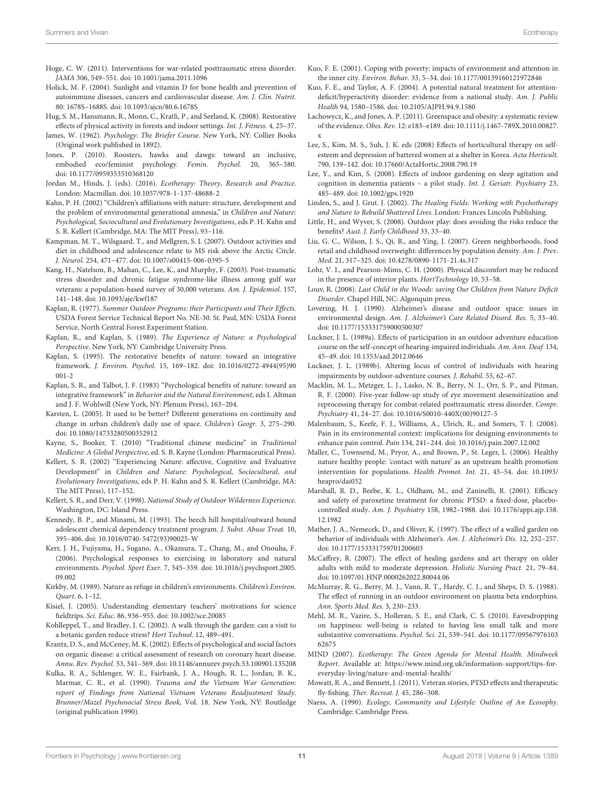- <span id="page-10-10"></span>Hoge, C. W. (2011). Interventions for war-related posttraumatic stress disorder. JAMA 306, 549–551. [doi: 10.1001/jama.2011.1096](https://doi.org/10.1001/jama.2011.1096)
- <span id="page-10-32"></span>Holick, M. F. (2004). Sunlight and vitamin D for bone health and prevention of autoimmune diseases, cancers and cardiovascular disease. Am. J. Clin. Nutrit. 80: 1678S–1688S. [doi: 10.1093/ajcn/80.6.1678S](https://doi.org/10.1093/ajcn/80.6.1678S)
- <span id="page-10-45"></span>Hug, S. M., Hansmann, R., Monn, C., Kratli, P., and Seeland, K. (2008). Restorative effects of physical activity in forests and indoor settings. Int. J. Fitness. 4, 25–37.
- <span id="page-10-26"></span>James, W. (1962). Psychology: The Briefer Course. New York, NY: Collier Books (Original work published in 1892).
- <span id="page-10-0"></span>Jones, P. (2010). Roosters, hawks and dawgs: toward an inclusive, embodied eco/feminist psychology. Femin. Psychol. 20, 365–380. [doi: 10.1177/0959353510368120](https://doi.org/10.1177/0959353510368120)
- <span id="page-10-3"></span>Jordan M., Hinds, J. (eds). (2016). Ecotherapy: Theory, Research and Practice. London: Macmillan. [doi: 10.1057/978-1-137-48688-2](https://doi.org/10.1057/978-1-137-48688-2)
- <span id="page-10-37"></span>Kahn, P. H. (2002) "Children's affiliations with nature: structure, development and the problem of environmental generational amnesia," in Children and Nature: Psychological, Sociocultural and Evolutionary Investigations, eds P. H. Kahn and S. R. Kellert (Cambridge, MA: The MIT Press), 93–116.
- <span id="page-10-33"></span>Kampman, M. T., Wilsgaard. T., and Mellgren, S. I. (2007). Outdoor activities and diet in childhood and adolescence relate to MS risk above the Arctic Circle. J. Neurol. 254, 471–477. [doi: 10.1007/s00415-006-0395-5](https://doi.org/10.1007/s00415-006-0395-5)
- <span id="page-10-9"></span>Kang, H., Natelson, B., Mahan, C., Lee, K., and Murphy, F. (2003). Post-traumatic stress disorder and chronic fatigue syndrome-like illness among gulf war veterans: a population-based survey of 30,000 veterans. Am. J. Epidemiol. 157, 141–148. [doi: 10.1093/aje/kwf187](https://doi.org/10.1093/aje/kwf187)
- <span id="page-10-38"></span>Kaplan, R. (1977). Summer Outdoor Programs: their Participants and Their Effects. USDA Forest Service Technical Report No. NE-30. St. Paul, MN: USDA Forest Service, North Central Forest Experiment Station.
- <span id="page-10-13"></span>Kaplan, R., and Kaplan, S. (1989). The Experience of Nature: a Psychological Perspective. New York, NY: Cambridge University Press.
- <span id="page-10-24"></span>Kaplan, S. (1995). The restorative benefits of nature: toward an integrative framework. J. Environ. Psychol. 15, 169–182. [doi: 10.1016/0272-4944\(95\)90](https://doi.org/10.1016/0272-4944(95)90001-2) [001-2](https://doi.org/10.1016/0272-4944(95)90001-2)
- <span id="page-10-39"></span>Kaplan, S. R., and Talbot, J. F. (1983) "Psychological benefits of nature: toward an integrative framework" in Behavior and the Natural Environment, eds I. Altman and J. F. Wohlwill (New York, NY: Plenum Press), 163–204.
- <span id="page-10-34"></span>Karsten, L. (2005). It used to be better? Different generations on continuity and change in urban children's daily use of space. Children's Geogr. 3, 275–290. [doi: 10.1080/14733280500352912](https://doi.org/10.1080/14733280500352912)
- <span id="page-10-4"></span>Kayne, S., Booker, T. (2010) "Traditional chinese medicine" in Traditional Medicine: A Global Perspective, ed. S. B. Kayne (London: Pharmaceutical Press).
- <span id="page-10-36"></span>Kellert, S. R. (2002) "Experiencing Nature: affective, Cognitive and Evaluative Development" in Children and Nature: Psychological, Sociocultural, and Evolutionary Investigations, eds P. H. Kahn and S. R. Kellert (Cambridge, MA: The MIT Press), 117–152.
- <span id="page-10-35"></span>Kellert, S. R., and Derr, V. (1998). National Study of Outdoor Wilderness Experience. Washington, DC: Island Press.
- <span id="page-10-20"></span>Kennedy, B. P., and Minami, M. (1993). The beech hill hospital/outward bound adolescent chemical dependency treatment program. J. Subst. Abuse Treat. 10, 395–406. [doi: 10.1016/0740-5472\(93\)90025-W](https://doi.org/10.1016/0740-5472(93)90025-W)
- <span id="page-10-44"></span>Kerr, J. H., Fujiyama, H., Sugano, A., Okamura, T., Chang, M., and Onouha, F. (2006). Psychological responses to exercising in laboratory and natural environments. Psychol. Sport Exer. 7, 345–359. [doi: 10.1016/j.psychsport.2005.](https://doi.org/10.1016/j.psychsport.2005.09.002) [09.002](https://doi.org/10.1016/j.psychsport.2005.09.002)
- <span id="page-10-40"></span>Kirkby, M. (1989). Nature as refuge in children's environments. Children's Environ. Quart. 6, 1–12.
- <span id="page-10-41"></span>Kisiel, J. (2005). Understanding elementary teachers' motivations for science fieldtrips. Sci. Educ. 86, 936–955. [doi: 10.1002/sce.20085](https://doi.org/10.1002/sce.20085)
- <span id="page-10-22"></span>Kohlleppel, T., and Bradley, J. C. (2002). A walk through the garden: can a visit to a botanic garden reduce stress? Hort Technol. 12, 489–491.
- <span id="page-10-15"></span>Krantz, D. S., and McCeney, M. K. (2002). Effects of psychological and social factors on organic disease: a critical assessment of research on coronary heart disease. Annu. Rev. Psychol. 53, 341–369. [doi: 10.1146/annurev.psych.53.100901.135208](https://doi.org/10.1146/annurev.psych.53.100901.135208)
- <span id="page-10-8"></span>Kulka, R. A., Schlenger, W. E., Fairbank, J. A., Hough, R. L., Jordan, B. K., Marmar, C. R., et al. (1990). Trauma and the Vietnam War Generation: report of Findings from National Vietnam Veterans Readjustment Study. Brunner/Mazel Psychosocial Stress Book, Vol. 18. New York, NY: Routledge (original publication 1990).
- <span id="page-10-27"></span>Kuo, F. E. (2001). Coping with poverty: impacts of environment and attention in the inner city. Environ. Behav. 33, 5–34. [doi: 10.1177/00139160121972846](https://doi.org/10.1177/00139160121972846)
- <span id="page-10-25"></span>Kuo, F. E., and Taylor, A. F. (2004). A potential natural treatment for attentiondeficit/hyperactivity disorder: evidence from a national study. Am. J. Public Health 94, 1580–1586. [doi: 10.2105/AJPH.94.9.1580](https://doi.org/10.2105/AJPH.94.9.1580)
- <span id="page-10-30"></span>Lachowycz, K., and Jones, A. P. (2011). Greenspace and obesity: a systematic review of the evidence. Obes. Rev. 12: e183–e189. [doi: 10.1111/j.1467-789X.2010.00827.](https://doi.org/10.1111/j.1467-789X.2010.00827.x) [x](https://doi.org/10.1111/j.1467-789X.2010.00827.x)
- <span id="page-10-16"></span>Lee, S., Kim, M. S., Suh, J. K. eds (2008) Effects of horticultural therapy on selfesteem and depression of battered women at a shelter in Korea. Acta Horticult. 790, 139–142. [doi: 10.17660/ActaHortic.2008.790.19](https://doi.org/10.17660/ActaHortic.2008.790.19)
- <span id="page-10-17"></span>Lee, Y., and Kim, S. (2008). Effects of indoor gardening on sleep agitation and cognition in dementia patients – a pilot study. Int. J. Geriatr. Psychiatry 23, 485–489. [doi: 10.1002/gps.1920](https://doi.org/10.1002/gps.1920)
- <span id="page-10-2"></span>Linden, S., and J. Grut. J. (2002). The Healing Fields: Working with Psychotherapy and Nature to Rebuild Shattered Lives. London: Frances Lincoln Publishing.
- <span id="page-10-5"></span>Little, H., and Wyver, S. (2008). Outdoor play: does avoiding the risks reduce the benefits? Aust. J. Early Childhood 33, 33–40.
- <span id="page-10-31"></span>Liu, G. C., Wilson, J. S., Qi, R., and Ying, J. (2007). Green neighborhoods, food retail and childhood overweight: differences by population density. Am. J. Prev. Med. 21, 317–325. [doi: 10.4278/0890-1171-21.4s.317](https://doi.org/10.4278/0890-1171-21.4s.317)
- <span id="page-10-7"></span>Lohr, V. I., and Pearson-Mims, C. H. (2000). Physical discomfort may be reduced in the presence of interior plants. HortTechnology 10, 53–58.
- <span id="page-10-23"></span>Louv, R. (2008). Last Child in the Woods: saving Our Children from Nature Deficit Disorder. Chapel Hill, NC: Algonquin press.
- <span id="page-10-28"></span>Lovering, H. J. (1990). Alzheimer's disease and outdoor space: issues in environmental design. Am. J. Alzheimer's Care Related Disord. Res. 5, 33–40. [doi: 10.1177/153331759000500307](https://doi.org/10.1177/153331759000500307)
- <span id="page-10-18"></span>Luckner, J. L. (1989a). Effects of participation in an outdoor adventure education course on the self-concept of hearing-impaired individuals. Am. Ann. Deaf 134, 45–49. [doi: 10.1353/aad.2012.0646](https://doi.org/10.1353/aad.2012.0646)
- <span id="page-10-19"></span>Luckner, J. L. (1989b). Altering locus of control of individuals with hearing impairments by outdoor-adventure courses. J. Rehabil. 55, 62–67.
- <span id="page-10-11"></span>Macklin, M. L., Metzger, L. J., Lasko, N. B., Berry, N. J., Orr, S. P., and Pitman, R. F. (2000). Five-year follow-up study of eye movement desensitization and reprocessing therapy for combat-related posttraumatic stress disorder. Compr. Psychiatry 41, 24–27. [doi: 10.1016/S0010-440X\(00\)90127-5](https://doi.org/10.1016/S0010-440X(00)90127-5)
- <span id="page-10-6"></span>Malenbaum, S., Keefe, F. J., Williams, A., Ulrich, R., and Somers, T. J. (2008). Pain in its environmental context: implications for designing environments to enhance pain control. Pain 134, 241–244. [doi: 10.1016/j.pain.2007.12.002](https://doi.org/10.1016/j.pain.2007.12.002)
- <span id="page-10-46"></span>Maller, C., Townsend, M., Pryor, A., and Brown, P., St. Leger, L. (2006). Healthy nature healthy people: 'contact with nature' as an upstream health promotion intervention for populations. Health Promot. Int. 21, 45–54. [doi: 10.1093/](https://doi.org/10.1093/heapro/dai032) [heapro/dai032](https://doi.org/10.1093/heapro/dai032)
- <span id="page-10-12"></span>Marshall, R. D., Beebe, K. L., Oldham, M., and Zaninelli, R. (2001). Efficacy and safety of paroxetine treatment for chronic PTSD: a fixed-dose, placebocontrolled study. Am. J. Psychiatry 158, 1982–1988. [doi: 10.1176/appi.ajp.158.](https://doi.org/10.1176/appi.ajp.158.12.1982) [12.1982](https://doi.org/10.1176/appi.ajp.158.12.1982)
- <span id="page-10-29"></span>Mather, J. A., Nemecek, D., and Oliver, K. (1997). The effect of a walled garden on behavior of individuals with Alzheimer's. Am. J. Alzheimer's Dis. 12, 252–257. [doi: 10.1177/153331759701200603](https://doi.org/10.1177/153331759701200603)
- <span id="page-10-21"></span>McCaffrey, R. (2007). The effect of healing gardens and art therapy on older adults with mild to moderate depression. Holistic Nursing Pract. 21, 79–84. [doi: 10.1097/01.HNP.0000262022.80044.06](https://doi.org/10.1097/01.HNP.0000262022.80044.06)
- <span id="page-10-43"></span>McMurray, R. G., Berry, M. J., Vann, R. T., Hardy, C. J., and Sheps, D. S. (1988). The effect of running in an outdoor environment on plasma beta endorphins. Ann. Sports Med. Res. 3, 230–233.
- <span id="page-10-47"></span>Mehl, M. R., Vazire, S., Holleran, S. E., and Clark, C. S. (2010). Eavesdropping on happiness: well-being is related to having less small talk and more substantive conversations. Psychol. Sci. 21, 539–541. [doi: 10.1177/09567976103](https://doi.org/10.1177/0956797610362675) [62675](https://doi.org/10.1177/0956797610362675)
- <span id="page-10-42"></span>MIND (2007). Ecotherapy: The Green Agenda for Mental Health. Mindweek Report. Available at: [https://www.mind.org.uk/information-support/tips-for](https://www.mind.org.uk/information-support/tips-for-everyday-living/nature-and-mental-health/)[everyday-living/nature-and-mental-health/](https://www.mind.org.uk/information-support/tips-for-everyday-living/nature-and-mental-health/)
- <span id="page-10-14"></span>Mowatt, R. A., and Bennett, J. (2011). Veteran stories, PTSD effects and therapeutic fly-fishing. Ther. Recreat. J. 45, 286–308.
- <span id="page-10-1"></span>Naess, A. (1990). Ecology, Community and Lifestyle: Outline of An Ecosophy. Cambridge: Cambridge Press.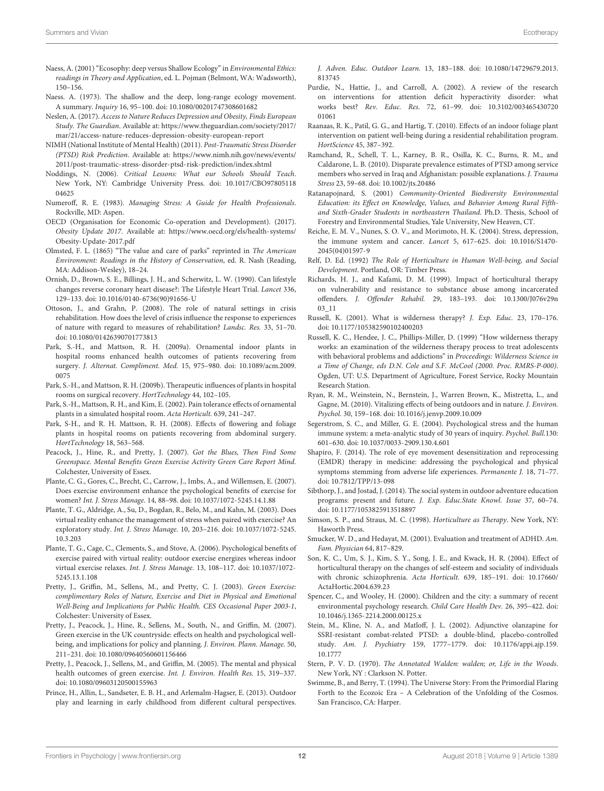- <span id="page-11-2"></span>Naess, A. (2001) "Ecosophy: deep versus Shallow Ecology" in Environmental Ethics: readings in Theory and Application, ed. L. Pojman (Belmont, WA: Wadsworth), 150–156.
- <span id="page-11-1"></span>Naess. A. (1973). The shallow and the deep, long-range ecology movement. A summary. Inquiry 16, 95–100. [doi: 10.1080/00201747308601682](https://doi.org/10.1080/00201747308601682)
- <span id="page-11-25"></span>Neslen, A. (2017). Access to Nature Reduces Depression and Obesity, Finds European Study. The Guardian. Available at: [https://www.theguardian.com/society/2017/](https://www.theguardian.com/society/2017/mar/21/access-nature-reduces-depression-obesity-european-report) [mar/21/access-nature-reduces-depression-obesity-european-report](https://www.theguardian.com/society/2017/mar/21/access-nature-reduces-depression-obesity-european-report)
- <span id="page-11-12"></span>NIMH (National Institute of Mental Health) (2011). Post-Traumatic Stress Disorder (PTSD) Risk Prediction. Available at: [https://www.nimh.nih.gov/news/events/](https://www.nimh.nih.gov/news/events/2011/post-traumatic-stress-disorder-ptsd-risk-prediction/index.shtml) [2011/post-traumatic-stress-disorder-ptsd-risk-prediction/index.shtml](https://www.nimh.nih.gov/news/events/2011/post-traumatic-stress-disorder-ptsd-risk-prediction/index.shtml)
- <span id="page-11-26"></span>Noddings, N. (2006). Critical Lessons: What our Schools Should Teach. New York, NY: Cambridge University Press. [doi: 10.1017/CBO97805118](https://doi.org/10.1017/CBO9780511804625) [04625](https://doi.org/10.1017/CBO9780511804625)
- <span id="page-11-38"></span>Numeroff, R. E. (1983). Managing Stress: A Guide for Health Professionals. Rockville, MD: Aspen.
- <span id="page-11-24"></span>OECD (Organisation for Economic Co-operation and Development). (2017). Obesity Update 2017. Available at: [https://www.oecd.org/els/health-systems/](https://www.oecd.org/els/health-systems/Obesity-Update-2017.pdf) [Obesity-Update-2017.pdf](https://www.oecd.org/els/health-systems/Obesity-Update-2017.pdf)
- <span id="page-11-29"></span>Olmsted, F. L. (1865) "The value and care of parks" reprinted in The American Environment: Readings in the History of Conservation, ed. R. Nash (Reading, MA: Addison-Wesley), 18–24.
- <span id="page-11-18"></span>Ornish, D., Brown, S. E., Billings, J. H., and Scherwitz, L. W. (1990). Can lifestyle changes reverse coronary heart disease?: The Lifestyle Heart Trial. Lancet 336, 129–133. [doi: 10.1016/0140-6736\(90\)91656-U](https://doi.org/10.1016/0140-6736(90)91656-U)
- <span id="page-11-41"></span>Ottoson, J., and Grahn, P. (2008). The role of natural settings in crisis rehabilitation. How does the level of crisis influence the response to experiences of nature with regard to measures of rehabilitation? Landsc. Res. 33, 51–70. [doi: 10.1080/01426390701773813](https://doi.org/10.1080/01426390701773813)
- <span id="page-11-8"></span>Park, S.-H., and Mattson, R. H. (2009a). Ornamental indoor plants in hospital rooms enhanced health outcomes of patients recovering from surgery. J. Alternat. Compliment. Med. 15, 975–980. [doi: 10.1089/acm.2009.](https://doi.org/10.1089/acm.2009.0075) [0075](https://doi.org/10.1089/acm.2009.0075)
- <span id="page-11-9"></span>Park, S.-H., and Mattson, R. H. (2009b). Therapeutic influences of plants in hospital rooms on surgical recovery. HortTechnology 44, 102–105.
- <span id="page-11-11"></span>Park, S.-H., Mattson, R. H., and Kim, E. (2002). Pain tolerance effects of ornamental plants in a simulated hospital room. Acta Horticult. 639, 241–247.
- <span id="page-11-7"></span>Park, S-H., and R. H. Mattson, R. H. (2008). Effects of flowering and foliage plants in hospital rooms on patients recovering from abdominal surgery. HortTechnology 18, 563–568.
- <span id="page-11-33"></span>Peacock, J., Hine, R., and Pretty, J. (2007). Got the Blues, Then Find Some Greenspace. Mental Benefits Green Exercise Activity Green Care Report Mind. Colchester, University of Essex.
- <span id="page-11-34"></span>Plante, C. G., Gores, C., Brecht, C., Carrow, J., Imbs, A., and Willemsen, E. (2007). Does exercise environment enhance the psychological benefits of exercise for women? Int. J. Stress Manage. 14, 88–98. [doi: 10.1037/1072-5245.14.1.88](https://doi.org/10.1037/1072-5245.14.1.88)
- <span id="page-11-36"></span>Plante, T. G., Aldridge, A., Su, D., Bogdan, R., Belo, M., and Kahn, M. (2003). Does virtual reality enhance the management of stress when paired with exercise? An exploratory study. Int. J. Stress Manage. 10, 203–216. [doi: 10.1037/1072-5245.](https://doi.org/10.1037/1072-5245.10.3.203) [10.3.203](https://doi.org/10.1037/1072-5245.10.3.203)
- <span id="page-11-37"></span>Plante, T. G., Cage, C., Clements, S., and Stove, A. (2006). Psychological benefits of exercise paired with virtual reality: outdoor exercise energizes whereas indoor virtual exercise relaxes. Int. J. Stress Manage. 13, 108–117. [doi: 10.1037/1072-](https://doi.org/10.1037/1072-5245.13.1.108) [5245.13.1.108](https://doi.org/10.1037/1072-5245.13.1.108)
- <span id="page-11-32"></span>Pretty, J., Griffin, M., Sellens, M., and Pretty, C. J. (2003). Green Exercise: complimentary Roles of Nature, Exercise and Diet in Physical and Emotional Well-Being and Implications for Public Health. CES Occasional Paper 2003-1, Colchester: University of Essex.
- <span id="page-11-4"></span>Pretty, J., Peacock, J., Hine, R., Sellens, M., South, N., and Griffin, M. (2007). Green exercise in the UK countryside: effects on health and psychological wellbeing, and implications for policy and planning. J. Environ. Plann. Manage. 50, 211–231. [doi: 10.1080/09640560601156466](https://doi.org/10.1080/09640560601156466)
- <span id="page-11-3"></span>Pretty, J., Peacock, J., Sellens, M., and Griffin, M. (2005). The mental and physical health outcomes of green exercise. Int. J. Environ. Health Res. 15, 319–337. [doi: 10.1080/09603120500155963](https://doi.org/10.1080/09603120500155963)
- <span id="page-11-6"></span>Prince, H., Allin, L., Sandseter, E. B. H., and Arlemalm-Hagser, E. (2013). Outdoor play and learning in early childhood from different cultural perspectives.

J. Adven. Educ. Outdoor Learn. 13, 183–188. [doi: 10.1080/14729679.2013.](https://doi.org/10.1080/14729679.2013.813745) [813745](https://doi.org/10.1080/14729679.2013.813745)

- <span id="page-11-23"></span>Purdie, N., Hattie, J., and Carroll, A. (2002). A review of the research on interventions for attention deficit hyperactivity disorder: what works best? Rev. Educ. Res. 72, 61–99. [doi: 10.3102/003465430720](https://doi.org/10.3102/00346543072001061) [01061](https://doi.org/10.3102/00346543072001061)
- <span id="page-11-10"></span>Raanaas, R. K., Patil, G. G., and Hartig, T. (2010). Effects of an indoor foliage plant intervention on patient well-being during a residential rehabilitation program. HortScience 45, 387–392.
- <span id="page-11-13"></span>Ramchand, R., Schell, T. L., Karney, B. R., Osilla, K. C., Burns, R. M., and Caldarone, L. B. (2010). Disparate prevalence estimates of PTSD among service members who served in Iraq and Afghanistan: possible explanations. J. Trauma Stress 23, 59–68. [doi: 10.1002/jts.20486](https://doi.org/10.1002/jts.20486)
- <span id="page-11-28"></span>Ratanapojnard, S. (2001) Community-Oriented Biodiversity Environmental Education: its Effect on Knowledge, Values, and Behavior Among Rural Fifthand Sixth-Grader Students in northeastern Thailand. Ph.D. Thesis, School of Forestry and Environmental Studies, Yale University, New Heaven, CT.
- <span id="page-11-39"></span>Reiche, E. M. V., Nunes, S. O. V., and Morimoto, H. K. (2004). Stress, depression, the immune system and cancer. Lancet 5, 617–625. [doi: 10.1016/S1470-](https://doi.org/10.1016/S1470-2045(04)01597-9) [2045\(04\)01597-9](https://doi.org/10.1016/S1470-2045(04)01597-9)
- <span id="page-11-31"></span>Relf, D. Ed. (1992) The Role of Horticulture in Human Well-being, and Social Development. Portland, OR: Timber Press.
- <span id="page-11-21"></span>Richards, H. J., and Kafami, D. M. (1999). Impact of horticultural therapy on vulnerability and resistance to substance abuse among incarcerated offenders. J. Offender Rehabil. 29, 183–193. [doi: 10.1300/J076v29n](https://doi.org/10.1300/J076v29n03_11) [03\\_11](https://doi.org/10.1300/J076v29n03_11)
- <span id="page-11-5"></span>Russell, K. (2001). What is wilderness therapy? J. Exp. Educ. 23, 170–176. [doi: 10.1177/105382590102400203](https://doi.org/10.1177/105382590102400203)
- <span id="page-11-17"></span>Russell, K. C., Hendee, J. C., Phillips-Miller, D. (1999) "How wilderness therapy works: an examination of the wilderness therapy process to treat adolescents with behavioral problems and addictions" in Proceedings: Wilderness Science in a Time of Change, eds D.N. Cole and S.F. McCool (2000. Proc. RMRS-P-000). Ogden, UT: U.S. Department of Agriculture, Forest Service, Rocky Mountain Research Station.
- <span id="page-11-35"></span>Ryan, R. M., Weinstein, N., Bernstein, J., Warren Brown, K., Mistretta, L., and Gagne, M. (2010). Vitalizing effects of being outdoors and in nature. J. Environ. Psychol. 30, 159–168. [doi: 10.1016/j.jenvp.2009.10.009](https://doi.org/10.1016/j.jenvp.2009.10.009)
- <span id="page-11-40"></span>Segerstrom, S. C., and Miller, G. E. (2004). Psychological stress and the human immune system: a meta-analytic study of 30 years of inquiry. Psychol. Bull.130: 601–630. [doi: 10.1037/0033-2909.130.4.601](https://doi.org/10.1037/0033-2909.130.4.601)
- <span id="page-11-14"></span>Shapiro, F. (2014). The role of eye movement desensitization and reprocessing (EMDR) therapy in medicine: addressing the psychological and physical symptoms stemming from adverse life experiences. Permanente J. 18, 71–77. [doi: 10.7812/TPP/13-098](https://doi.org/10.7812/TPP/13-098)
- <span id="page-11-16"></span>Sibthorp, J., and Jostad, J. (2014). The social system in outdoor adventure education programs: present and future. J. Exp. Educ.State Knowl. Issue 37, 60–74. [doi: 10.1177/1053825913518897](https://doi.org/10.1177/1053825913518897)
- <span id="page-11-19"></span>Simson, S. P., and Straus, M. C. (1998). Horticulture as Therapy. New York, NY: Haworth Press.
- <span id="page-11-22"></span>Smucker, W. D., and Hedayat, M. (2001). Evaluation and treatment of ADHD. Am. Fam. Physician 64, 817–829.
- <span id="page-11-20"></span>Son, K. C., Um, S. J., Kim, S. Y., Song, J. E., and Kwack, H. R. (2004). Effect of horticultural therapy on the changes of self-esteem and sociality of individuals with chronic schizophrenia. Acta Horticult. 639, 185–191. [doi: 10.17660/](https://doi.org/10.17660/ActaHortic.2004.639.23) [ActaHortic.2004.639.23](https://doi.org/10.17660/ActaHortic.2004.639.23)
- <span id="page-11-27"></span>Spencer, C., and Wooley, H. (2000). Children and the city: a summary of recent environmental psychology research. Child Care Health Dev. 26, 395–422. [doi:](https://doi.org/10.1046/j.1365-2214.2000.00125.x) [10.1046/j.1365-2214.2000.00125.x](https://doi.org/10.1046/j.1365-2214.2000.00125.x)
- <span id="page-11-15"></span>Stein, M., Kline, N. A., and Matloff, J. L. (2002). Adjunctive olanzapine for SSRI-resistant combat-related PTSD: a double-blind, placebo-controlled study. Am. J. Psychiatry 159, 1777–1779. [doi: 10.1176/appi.ajp.159.](https://doi.org/10.1176/appi.ajp.159.10.1777) [10.1777](https://doi.org/10.1176/appi.ajp.159.10.1777)
- <span id="page-11-30"></span>Stern, P. V. D. (1970). The Annotated Walden: walden; or, Life in the Woods. New York, NY : Clarkson N. Potter.
- <span id="page-11-0"></span>Swimme, B., and Berry, T. (1994). The Universe Story: From the Primordial Flaring Forth to the Ecozoic Era – A Celebration of the Unfolding of the Cosmos. San Francisco, CA: Harper.